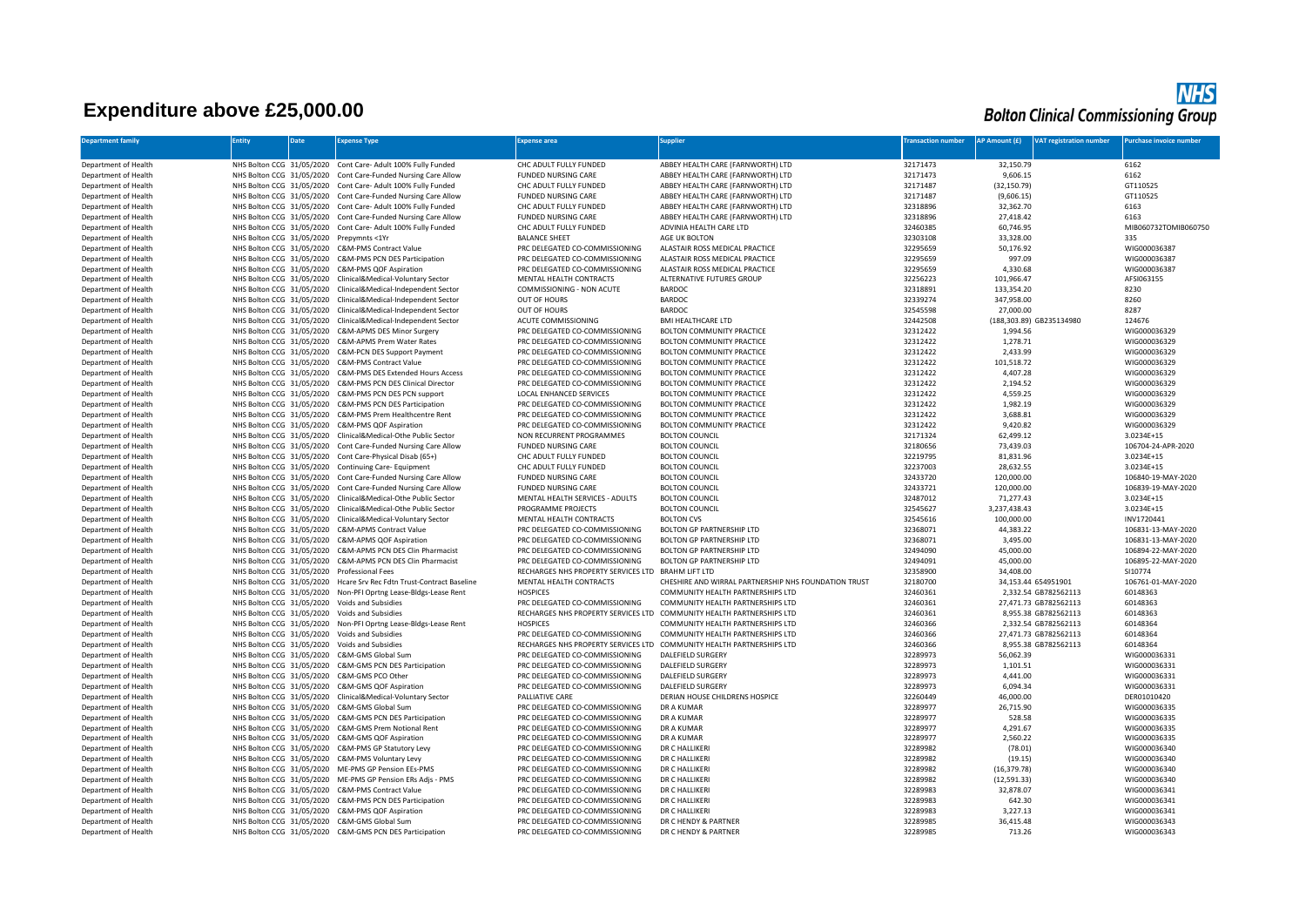## **Expenditure above £25,000.00**

## **NHS**<br>Bolton Clinical Commissioning Group

| <b>Department family</b>                     | <b>Entity</b>             | <b>Date</b> | <b>Expense Type</b>                                                                                                          | <b>Expense area</b>                                       | <b>Supplier</b>                                                       | <b>Transaction number</b> | AP Amount (£)<br><b>VAT registration number</b> | Purchase invoice number          |
|----------------------------------------------|---------------------------|-------------|------------------------------------------------------------------------------------------------------------------------------|-----------------------------------------------------------|-----------------------------------------------------------------------|---------------------------|-------------------------------------------------|----------------------------------|
| Department of Health                         |                           |             | NHS Bolton CCG 31/05/2020 Cont Care- Adult 100% Fully Funded                                                                 | CHC ADULT FULLY FUNDED                                    | ABBEY HEALTH CARE (FARNWORTH) LTD                                     | 32171473                  | 32,150.79                                       | 6162                             |
| Department of Health                         |                           |             | NHS Bolton CCG 31/05/2020 Cont Care-Funded Nursing Care Allow                                                                | <b>FUNDED NURSING CARE</b>                                | ABBEY HEALTH CARE (FARNWORTH) LTD                                     | 32171473                  | 9,606.15                                        | 6162                             |
| Department of Health                         | NHS Bolton CCG 31/05/2020 |             | Cont Care- Adult 100% Fully Funded                                                                                           | CHC ADULT FULLY FUNDED                                    | ABBEY HEALTH CARE (FARNWORTH) LTD                                     | 32171487                  | (32, 150.79)                                    | GT110525                         |
| Department of Health                         |                           |             | NHS Bolton CCG 31/05/2020 Cont Care-Funded Nursing Care Allow                                                                | <b>FUNDED NURSING CARE</b>                                | ABBEY HEALTH CARE (FARNWORTH) LTD                                     | 32171487                  | (9,606.15)                                      | GT110525                         |
| Department of Health                         |                           |             | NHS Bolton CCG 31/05/2020 Cont Care- Adult 100% Fully Funded                                                                 | CHC ADULT FULLY FUNDED                                    | ABBEY HEALTH CARE (FARNWORTH) LTD                                     | 32318896                  | 32,362.70                                       | 6163                             |
| Department of Health                         |                           |             | NHS Bolton CCG 31/05/2020 Cont Care-Funded Nursing Care Allow                                                                | <b>FUNDED NURSING CARE</b>                                | ABBEY HEALTH CARE (FARNWORTH) LTD                                     | 32318896                  | 27,418.42                                       | 6163                             |
| Department of Health                         |                           |             | NHS Bolton CCG 31/05/2020 Cont Care- Adult 100% Fully Funded                                                                 | CHC ADULT FULLY FUNDED                                    | ADVINIA HEALTH CARE LTD                                               | 32460385                  | 60,746.95                                       | MIB060732TOMIB060750             |
| Department of Health                         |                           |             | NHS Bolton CCG 31/05/2020 Prepymnts <1Yr                                                                                     | <b>BALANCE SHEET</b>                                      | AGE UK BOLTON                                                         | 32303108                  | 33,328.00                                       | 335                              |
| Department of Health                         |                           |             | NHS Bolton CCG 31/05/2020 C&M-PMS Contract Value                                                                             | PRC DELEGATED CO-COMMISSIONING                            | ALASTAIR ROSS MEDICAL PRACTICE                                        | 32295659                  | 50,176.92                                       | WIG000036387                     |
| Department of Health                         |                           |             | NHS Bolton CCG 31/05/2020 C&M-PMS PCN DES Participation                                                                      | PRC DELEGATED CO-COMMISSIONING                            | ALASTAIR ROSS MEDICAL PRACTICE                                        | 32295659                  | 997.09                                          | WIG000036387                     |
| Department of Health                         |                           |             | NHS Bolton CCG 31/05/2020 C&M-PMS QOF Aspiration                                                                             | PRC DELEGATED CO-COMMISSIONING                            | ALASTAIR ROSS MEDICAL PRACTICE                                        | 32295659                  | 4,330.68                                        | WIG000036387                     |
| Department of Health                         |                           |             | NHS Bolton CCG 31/05/2020 Clinical&Medical-Voluntary Sector                                                                  | MENTAL HEALTH CONTRACTS                                   | <b>ALTERNATIVE FUTURES GROUP</b>                                      | 32256223                  | 101,966.47                                      | AFSI063155                       |
| Department of Health                         | NHS Bolton CCG 31/05/2020 |             | Clinical&Medical-Independent Sector                                                                                          | COMMISSIONING - NON ACUTE                                 | <b>BARDOC</b>                                                         | 32318891                  | 133,354.20                                      | 8230                             |
| Department of Health                         | NHS Bolton CCG 31/05/2020 |             | Clinical&Medical-Independent Sector                                                                                          | OUT OF HOURS                                              | <b>BARDOC</b>                                                         | 32339274                  | 347,958.00                                      | 8260                             |
| Department of Health                         | NHS Bolton CCG 31/05/2020 |             | Clinical&Medical-Independent Sector                                                                                          | OUT OF HOURS                                              | BARDOC                                                                | 32545598                  | 27,000.00                                       | 8287                             |
| Department of Health                         |                           |             | NHS Bolton CCG 31/05/2020 Clinical&Medical-Independent Sector                                                                | ACUTE COMMISSIONING                                       | <b>BMI HEALTHCARE LTD</b>                                             | 32442508                  | (188,303.89) GB235134980                        | 124676                           |
| Department of Health                         |                           |             | NHS Bolton CCG 31/05/2020 C&M-APMS DES Minor Surgery                                                                         | PRC DELEGATED CO-COMMISSIONING                            | BOLTON COMMUNITY PRACTICE                                             | 32312422                  | 1.994.56                                        | WIG000036329                     |
| Department of Health                         | NHS Bolton CCG 31/05/2020 |             | C&M-APMS Prem Water Rates                                                                                                    | PRC DELEGATED CO-COMMISSIONING                            | BOLTON COMMUNITY PRACTICE                                             | 32312422                  | 1,278.71                                        | WIG000036329                     |
| Department of Health                         |                           |             | NHS Bolton CCG 31/05/2020 C&M-PCN DES Support Payment                                                                        | PRC DELEGATED CO-COMMISSIONING                            | BOLTON COMMUNITY PRACTICE                                             | 32312422                  | 2,433.99                                        | WIG000036329                     |
| Department of Health                         |                           |             | NHS Bolton CCG 31/05/2020 C&M-PMS Contract Value                                                                             | PRC DELEGATED CO-COMMISSIONING                            | BOLTON COMMUNITY PRACTICE                                             | 32312422                  | 101,518.72                                      | WIG000036329                     |
| Department of Health                         |                           |             | NHS Bolton CCG 31/05/2020 C&M-PMS DES Extended Hours Access                                                                  | PRC DELEGATED CO-COMMISSIONING                            | BOLTON COMMUNITY PRACTICE                                             | 32312422                  | 4.407.28                                        | WIG000036329                     |
| Department of Health                         |                           |             | NHS Bolton CCG 31/05/2020 C&M-PMS PCN DES Clinical Director                                                                  | PRC DELEGATED CO-COMMISSIONING                            | BOLTON COMMUNITY PRACTICE                                             | 32312422                  | 2,194.52                                        | WIG000036329                     |
| Department of Health                         | NHS Bolton CCG 31/05/2020 |             | C&M-PMS PCN DES PCN support                                                                                                  | LOCAL ENHANCED SERVICES                                   | BOLTON COMMUNITY PRACTICE                                             | 32312422                  | 4,559.25                                        | WIG000036329                     |
| Department of Health                         |                           |             | NHS Bolton CCG 31/05/2020 C&M-PMS PCN DES Participation                                                                      | PRC DELEGATED CO-COMMISSIONING                            | BOLTON COMMUNITY PRACTICE                                             | 32312422                  | 1,982.19                                        | WIG000036329                     |
| Department of Health                         |                           |             | NHS Bolton CCG 31/05/2020 C&M-PMS Prem Healthcentre Rent                                                                     | PRC DELEGATED CO-COMMISSIONING                            | BOLTON COMMUNITY PRACTICE                                             | 32312422                  | 3,688.81                                        | WIG000036329                     |
| Department of Health                         |                           |             | NHS Bolton CCG 31/05/2020 C&M-PMS QOF Aspiration                                                                             | PRC DELEGATED CO-COMMISSIONING                            | BOLTON COMMUNITY PRACTICE                                             | 32312422                  | 9,420.82                                        | WIG000036329                     |
| Department of Health                         |                           |             | NHS Bolton CCG 31/05/2020 Clinical&Medical-Othe Public Sector                                                                | NON RECURRENT PROGRAMMES                                  | <b>BOLTON COUNCIL</b>                                                 | 32171324                  | 62,499.12                                       | 3.0234E+15                       |
| Department of Health                         |                           |             | NHS Bolton CCG 31/05/2020 Cont Care-Funded Nursing Care Allow                                                                | <b>FUNDED NURSING CARE</b>                                | <b>BOLTON COUNCIL</b>                                                 | 32180656                  | 73,439.03                                       | 106704-24-APR-2020               |
| Department of Health                         |                           |             | NHS Bolton CCG 31/05/2020 Cont Care-Physical Disab (65+)                                                                     | CHC ADULT FULLY FUNDED                                    | <b>BOLTON COUNCIL</b>                                                 | 32219795                  | 81,831.96                                       | 3.0234E+15                       |
| Department of Health                         |                           |             | NHS Bolton CCG 31/05/2020 Continuing Care- Equipment                                                                         | CHC ADULT FULLY FUNDED                                    | <b>BOLTON COUNCIL</b>                                                 | 32237003                  | 28,632.55                                       | 3.0234E+15                       |
| Department of Health                         |                           |             | NHS Bolton CCG 31/05/2020 Cont Care-Funded Nursing Care Allow                                                                | <b>FUNDED NURSING CARE</b>                                | <b>BOLTON COUNCIL</b>                                                 | 32433720                  | 120,000.00                                      | 106840-19-MAY-2020               |
| Department of Health                         | NHS Bolton CCG 31/05/2020 |             | Cont Care-Funded Nursing Care Allow                                                                                          | <b>FUNDED NURSING CARE</b>                                | <b>BOLTON COUNCIL</b>                                                 | 32433721                  | 120,000.00                                      | 106839-19-MAY-2020               |
| Department of Health                         | NHS Bolton CCG 31/05/2020 |             | Clinical&Medical-Othe Public Sector                                                                                          | MENTAL HEALTH SERVICES - ADULTS                           | <b>BOLTON COUNCIL</b>                                                 | 32487012                  | 71,277.43                                       | 3.0234E+15                       |
| Department of Health<br>Department of Health |                           |             | NHS Bolton CCG 31/05/2020 Clinical&Medical-Othe Public Sector<br>NHS Bolton CCG 31/05/2020 Clinical&Medical-Voluntary Sector | PROGRAMME PROJECTS                                        | <b>BOLTON COUNCIL</b>                                                 | 32545627                  | 3,237,438.43                                    | 3.0234E+15                       |
| Department of Health                         |                           |             | NHS Bolton CCG 31/05/2020 C&M-APMS Contract Value                                                                            | MENTAL HEALTH CONTRACTS<br>PRC DELEGATED CO-COMMISSIONING | <b>BOLTON CVS</b><br><b>BOLTON GP PARTNERSHIP LTD</b>                 | 32545616<br>32368071      | 100,000.00<br>44,383.22                         | INV1720441<br>106831-13-MAY-2020 |
| Department of Health                         | NHS Bolton CCG 31/05/2020 |             | C&M-APMS QOF Aspiration                                                                                                      | PRC DELEGATED CO-COMMISSIONING                            | BOLTON GP PARTNERSHIP LTD                                             | 32368071                  | 3,495.00                                        | 106831-13-MAY-2020               |
| Department of Health                         |                           |             | NHS Bolton CCG 31/05/2020 C&M-APMS PCN DES Clin Pharmacist                                                                   | PRC DELEGATED CO-COMMISSIONING                            | BOLTON GP PARTNERSHIP LTD                                             | 32494090                  | 45,000.00                                       | 106894-22-MAY-2020               |
| Department of Health                         |                           |             | NHS Bolton CCG 31/05/2020 C&M-APMS PCN DES Clin Pharmacist                                                                   | PRC DELEGATED CO-COMMISSIONING                            | BOLTON GP PARTNERSHIP LTD                                             | 32494091                  | 45,000.00                                       | 106895-22-MAY-2020               |
| Department of Health                         |                           |             | NHS Bolton CCG 31/05/2020 Professional Fees                                                                                  | RECHARGES NHS PROPERTY SERVICES LTD BRAHM LIFT LTD        |                                                                       | 32358900                  | 34,408.00                                       | SI10774                          |
| Department of Health                         |                           |             | NHS Bolton CCG 31/05/2020 Hcare Srv Rec Fdtn Trust-Contract Baseline                                                         | MENTAL HEALTH CONTRACTS                                   | CHESHIRE AND WIRRAL PARTNERSHIP NHS FOLINDATION TRUST                 | 32180700                  | 34,153.44 654951901                             | 106761-01-MAY-2020               |
| Department of Health                         |                           |             | NHS Bolton CCG 31/05/2020 Non-PFI Oprtng Lease-Bldgs-Lease Rent                                                              | <b>HOSPICES</b>                                           | COMMUNITY HEALTH PARTNERSHIPS LTD                                     | 32460361                  | 2,332.54 GB782562113                            | 60148363                         |
| Department of Health                         |                           |             | NHS Bolton CCG 31/05/2020 Voids and Subsidies                                                                                | PRC DELEGATED CO-COMMISSIONING                            | COMMUNITY HEALTH PARTNERSHIPS LTD                                     | 32460361                  | 27.471.73 GB782562113                           | 60148363                         |
| Department of Health                         |                           |             | NHS Bolton CCG 31/05/2020 Voids and Subsidies                                                                                |                                                           | RECHARGES NHS PROPERTY SERVICES LTD COMMUNITY HEALTH PARTNERSHIPS LTD | 32460361                  | 8,955.38 GB782562113                            | 60148363                         |
| Department of Health                         |                           |             | NHS Bolton CCG 31/05/2020 Non-PFI Oprtng Lease-Bldgs-Lease Rent                                                              | <b>HOSPICES</b>                                           | COMMUNITY HEALTH PARTNERSHIPS LTD                                     | 32460366                  | 2.332.54 GB782562113                            | 60148364                         |
| Department of Health                         |                           |             | NHS Bolton CCG 31/05/2020 Voids and Subsidies                                                                                | PRC DELEGATED CO-COMMISSIONING                            | COMMUNITY HEALTH PARTNERSHIPS LTD                                     | 32460366                  | 27,471.73 GB782562113                           | 60148364                         |
| Department of Health                         |                           |             | NHS Bolton CCG 31/05/2020 Voids and Subsidies                                                                                |                                                           | RECHARGES NHS PROPERTY SERVICES LTD COMMUNITY HEALTH PARTNERSHIPS LTD | 32460366                  | 8,955.38 GB782562113                            | 60148364                         |
| Department of Health                         |                           |             | NHS Bolton CCG 31/05/2020 C&M-GMS Global Sum                                                                                 | PRC DELEGATED CO-COMMISSIONING                            | <b>DALEFIELD SURGERY</b>                                              | 32289973                  | 56,062.39                                       | WIG000036331                     |
| Department of Health                         |                           |             | NHS Bolton CCG 31/05/2020 C&M-GMS PCN DES Participation                                                                      | PRC DELEGATED CO-COMMISSIONING                            | <b>DALEFIELD SURGERY</b>                                              | 32289973                  | 1,101.51                                        | WIG000036331                     |
| Department of Health                         |                           |             | NHS Bolton CCG 31/05/2020 C&M-GMS PCO Other                                                                                  | PRC DELEGATED CO-COMMISSIONING                            | DALEFIELD SURGERY                                                     | 32289973                  | 4,441.00                                        | WIG000036331                     |
| Department of Health                         | NHS Bolton CCG 31/05/2020 |             | C&M-GMS QOF Aspiration                                                                                                       | PRC DELEGATED CO-COMMISSIONING                            | <b>DALEFIELD SURGERY</b>                                              | 32289973                  | 6,094.34                                        | WIG000036331                     |
| Department of Health                         |                           |             | NHS Bolton CCG 31/05/2020 Clinical&Medical-Voluntary Sector                                                                  | <b>PAILIATIVE CARE</b>                                    | DERIAN HOUSE CHILDRENS HOSPICE                                        | 32260449                  | 46,000.00                                       | DER01010420                      |
| Department of Health                         |                           |             | NHS Bolton CCG 31/05/2020 C&M-GMS Global Sum                                                                                 | PRC DELEGATED CO-COMMISSIONING                            | <b>DR A KUMAR</b>                                                     | 32289977                  | 26,715.90                                       | WIG000036335                     |
| Department of Health                         |                           |             | NHS Bolton CCG 31/05/2020 C&M-GMS PCN DES Participation                                                                      | PRC DELEGATED CO-COMMISSIONING                            | <b>DR A KUMAR</b>                                                     | 32289977                  | 528.58                                          | WIG000036335                     |
| Department of Health                         |                           |             | NHS Bolton CCG 31/05/2020 C&M-GMS Prem Notional Rent                                                                         | PRC DELEGATED CO-COMMISSIONING                            | <b>DR A KUMAR</b>                                                     | 32289977                  | 4,291.67                                        | WIG000036335                     |
| Department of Health                         | NHS Bolton CCG 31/05/2020 |             | C&M-GMS QOF Aspiration                                                                                                       | PRC DELEGATED CO-COMMISSIONING                            | <b>DR A KUMAR</b>                                                     | 32289977                  | 2,560.22                                        | WIG000036335                     |
| Department of Health                         |                           |             | NHS Bolton CCG 31/05/2020 C&M-PMS GP Statutory Levy                                                                          | PRC DELEGATED CO-COMMISSIONING                            | DR C HALLIKERI                                                        | 32289982                  | (78.01)                                         | WIG000036340                     |
| Department of Health                         |                           |             | NHS Bolton CCG 31/05/2020 C&M-PMS Voluntary Levy                                                                             | PRC DELEGATED CO-COMMISSIONING                            | DR C HALLIKERI                                                        | 32289982                  | (19.15)                                         | WIG000036340                     |
| Department of Health                         |                           |             | NHS Bolton CCG 31/05/2020 ME-PMS GP Pension EEs-PMS                                                                          | PRC DELEGATED CO-COMMISSIONING                            | DR C HALLIKERI                                                        | 32289982                  | (16, 379.78)                                    | WIG000036340                     |
| Department of Health                         |                           |             | NHS Bolton CCG 31/05/2020 ME-PMS GP Pension ERs Adjs - PMS                                                                   | PRC DELEGATED CO-COMMISSIONING                            | DR C HALLIKERI                                                        | 32289982                  | (12,591.33)                                     | WIG000036340                     |
| Department of Health                         |                           |             | NHS Bolton CCG 31/05/2020 C&M-PMS Contract Value                                                                             | PRC DELEGATED CO-COMMISSIONING                            | DR C HALLIKERI                                                        | 32289983                  | 32,878.07                                       | WIG000036341                     |
| Department of Health                         |                           |             | NHS Bolton CCG 31/05/2020 C&M-PMS PCN DES Participation                                                                      | PRC DELEGATED CO-COMMISSIONING                            | DR C HALLIKERI                                                        | 32289983                  | 642.30                                          | WIG000036341                     |
| Department of Health                         |                           |             | NHS Bolton CCG 31/05/2020 C&M-PMS QOF Aspiration                                                                             | PRC DELEGATED CO-COMMISSIONING                            | DR C HALLIKERI                                                        | 32289983                  | 3,227.13                                        | WIG000036341                     |
| Department of Health                         |                           |             | NHS Bolton CCG 31/05/2020 C&M-GMS Global Sum                                                                                 | PRC DELEGATED CO-COMMISSIONING                            | DR C HENDY & PARTNER                                                  | 32289985<br>32289985      | 36.415.48                                       | WIG000036343<br>WIG000036343     |
| Department of Health                         |                           |             | NHS Bolton CCG 31/05/2020 C&M-GMS PCN DES Participation                                                                      | PRC DELEGATED CO-COMMISSIONING                            | DR C HENDY & PARTNER                                                  |                           | 713.26                                          |                                  |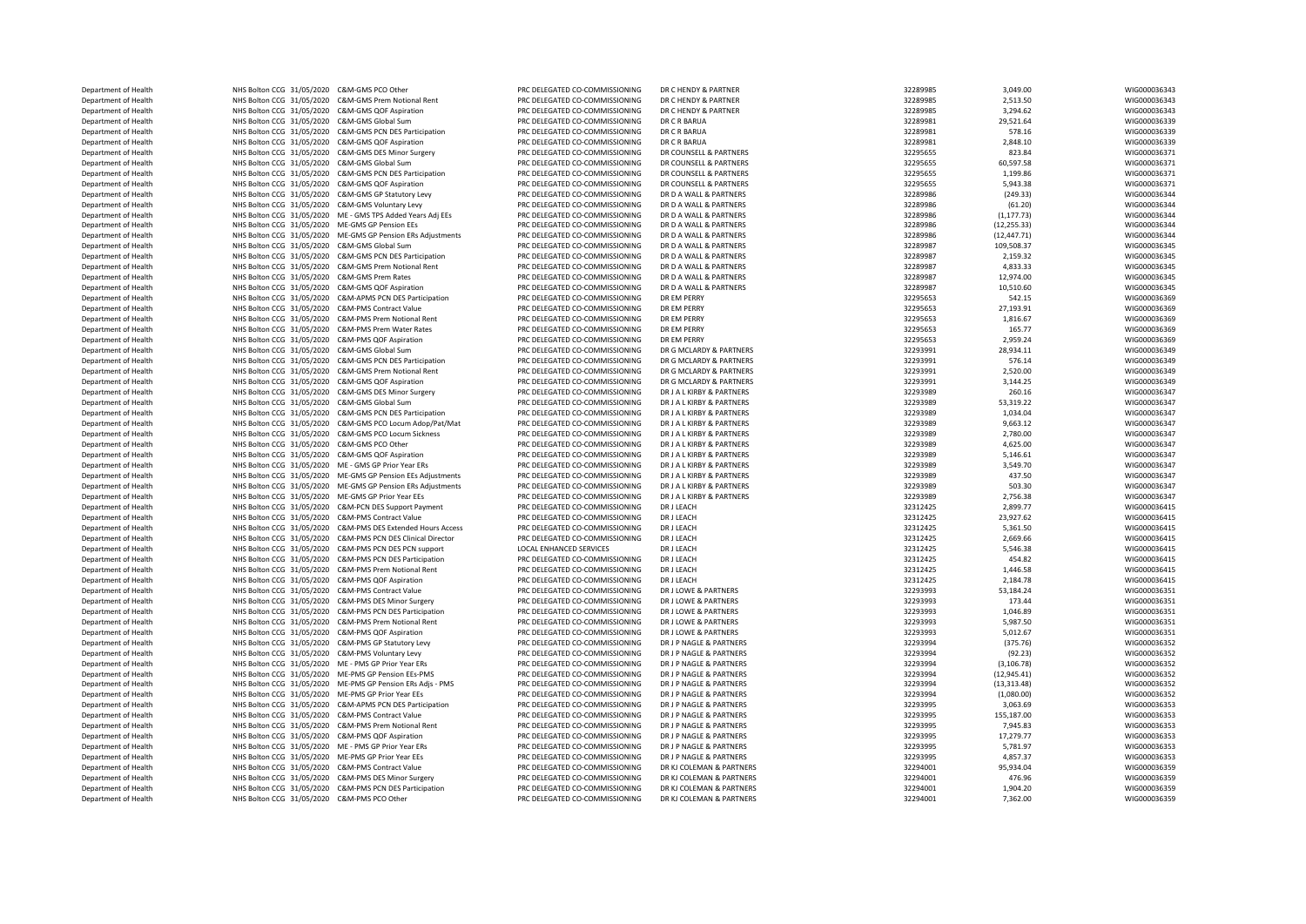| Department of Health | NHS Bolton CCG 31/05/2020 C&M-GMS PCO Other                 | PRC DELEGATED CO-COMMISSIONING | DR C HENDY & PARTNER      | 32289985 | 3,049.00     | WIG000036343 |
|----------------------|-------------------------------------------------------------|--------------------------------|---------------------------|----------|--------------|--------------|
| Department of Health | NHS Bolton CCG 31/05/2020 C&M-GMS Prem Notional Rent        | PRC DELEGATED CO-COMMISSIONING | DR C HENDY & PARTNER      | 32289985 | 2,513.50     | WIG000036343 |
| Department of Health | NHS Bolton CCG 31/05/2020 C&M-GMS QOF Aspiration            | PRC DELEGATED CO-COMMISSIONING | DR C HENDY & PARTNER      | 32289985 | 3,294.62     | WIG000036343 |
| Department of Health | NHS Bolton CCG 31/05/2020 C&M-GMS Global Sum                | PRC DELEGATED CO-COMMISSIONING | DR C R BARUA              | 32289981 | 29,521.64    | WIG000036339 |
| Department of Health | NHS Bolton CCG 31/05/2020 C&M-GMS PCN DES Participation     | PRC DELEGATED CO-COMMISSIONING | DR C R BARUA              | 32289981 | 578.16       | WIG000036339 |
| Department of Health | NHS Bolton CCG 31/05/2020 C&M-GMS QOF Aspiration            | PRC DELEGATED CO-COMMISSIONING | DR C R BARUA              | 32289981 | 2,848.10     | WIG000036339 |
|                      |                                                             |                                |                           |          |              |              |
| Department of Health | NHS Bolton CCG 31/05/2020 C&M-GMS DES Minor Surgery         | PRC DELEGATED CO-COMMISSIONING | DR COUNSELL & PARTNERS    | 32295655 | 823.84       | WIG000036371 |
| Department of Health | NHS Bolton CCG 31/05/2020 C&M-GMS Global Sum                | PRC DELEGATED CO-COMMISSIONING | DR COUNSELL & PARTNERS    | 32295655 | 60,597.58    | WIG000036371 |
| Department of Health | NHS Bolton CCG 31/05/2020 C&M-GMS PCN DES Participation     | PRC DELEGATED CO-COMMISSIONING | DR COUNSELL & PARTNERS    | 32295655 | 1,199.86     | WIG000036371 |
| Department of Health | NHS Bolton CCG 31/05/2020 C&M-GMS QOF Aspiration            | PRC DELEGATED CO-COMMISSIONING | DR COUNSELL & PARTNERS    | 32295655 | 5,943.38     | WIG000036371 |
| Department of Health | NHS Bolton CCG 31/05/2020 C&M-GMS GP Statutory Levy         | PRC DELEGATED CO-COMMISSIONING | DR D A WALL & PARTNERS    | 32289986 | (249.33)     | WIG000036344 |
| Department of Health | NHS Bolton CCG 31/05/2020 C&M-GMS Voluntary Levy            | PRC DELEGATED CO-COMMISSIONING | DR D A WALL & PARTNERS    | 32289986 | (61.20)      | WIG000036344 |
| Department of Health | NHS Bolton CCG 31/05/2020 ME - GMS TPS Added Years Adj EEs  | PRC DELEGATED CO-COMMISSIONING | DR D A WALL & PARTNERS    | 32289986 | (1, 177.73)  | WIG000036344 |
| Department of Health | NHS Bolton CCG 31/05/2020 ME-GMS GP Pension EEs             | PRC DELEGATED CO-COMMISSIONING | DR D A WALL & PARTNERS    | 32289986 | (12, 255.33) | WIG000036344 |
| Department of Health | NHS Bolton CCG 31/05/2020 ME-GMS GP Pension ERs Adjustments | PRC DELEGATED CO-COMMISSIONING | DR D A WALL & PARTNERS    | 32289986 | (12, 447.71) | WIG000036344 |
| Department of Health | NHS Bolton CCG 31/05/2020 C&M-GMS Global Sum                | PRC DELEGATED CO-COMMISSIONING | DR D A WALL & PARTNERS    | 32289987 | 109,508.37   | WIG000036345 |
| Department of Health | NHS Bolton CCG 31/05/2020 C&M-GMS PCN DES Participation     | PRC DELEGATED CO-COMMISSIONING | DR D A WALL & PARTNERS    | 32289987 | 2,159.32     | WIG000036345 |
|                      |                                                             |                                |                           |          |              |              |
| Department of Health | NHS Bolton CCG 31/05/2020 C&M-GMS Prem Notional Rent        | PRC DELEGATED CO-COMMISSIONING | DR D A WALL & PARTNERS    | 32289987 | 4,833.33     | WIG000036345 |
| Department of Health | NHS Bolton CCG 31/05/2020 C&M-GMS Prem Rates                | PRC DELEGATED CO-COMMISSIONING | DR D A WALL & PARTNERS    | 32289987 | 12,974.00    | WIG000036345 |
| Department of Health | NHS Bolton CCG 31/05/2020 C&M-GMS QOF Aspiration            | PRC DELEGATED CO-COMMISSIONING | DR D A WALL & PARTNERS    | 32289987 | 10,510.60    | WIG000036345 |
| Department of Health | NHS Bolton CCG 31/05/2020 C&M-APMS PCN DES Participation    | PRC DELEGATED CO-COMMISSIONING | DR FM PFRRY               | 32295653 | 542.15       | WIG000036369 |
| Department of Health | NHS Bolton CCG 31/05/2020 C&M-PMS Contract Value            | PRC DELEGATED CO-COMMISSIONING | DR EM PERRY               | 32295653 | 27,193.91    | WIG000036369 |
| Department of Health | NHS Bolton CCG 31/05/2020 C&M-PMS Prem Notional Rent        | PRC DELEGATED CO-COMMISSIONING | DR EM PERRY               | 32295653 | 1,816.67     | WIG000036369 |
| Department of Health | NHS Bolton CCG 31/05/2020 C&M-PMS Prem Water Rates          | PRC DELEGATED CO-COMMISSIONING | DR EM PERRY               | 32295653 | 165.77       | WIG000036369 |
| Department of Health | NHS Bolton CCG 31/05/2020 C&M-PMS QOF Aspiration            | PRC DELEGATED CO-COMMISSIONING | DR EM PERRY               | 32295653 | 2,959.24     | WIG000036369 |
| Department of Health | NHS Bolton CCG 31/05/2020 C&M-GMS Global Sum                | PRC DELEGATED CO-COMMISSIONING | DR G MCLARDY & PARTNERS   | 32293991 | 28,934.11    | WIG000036349 |
| Department of Health | NHS Bolton CCG 31/05/2020 C&M-GMS PCN DES Participation     | PRC DELEGATED CO-COMMISSIONING | DR G MCLARDY & PARTNERS   | 32293991 | 576.14       | WIG000036349 |
| Department of Health | NHS Bolton CCG 31/05/2020 C&M-GMS Prem Notional Rent        | PRC DELEGATED CO-COMMISSIONING | DR G MCLARDY & PARTNERS   | 32293991 | 2,520.00     | WIG000036349 |
|                      |                                                             |                                |                           |          |              |              |
| Department of Health | NHS Bolton CCG 31/05/2020 C&M-GMS QOF Aspiration            | PRC DELEGATED CO-COMMISSIONING | DR G MCLARDY & PARTNERS   | 32293991 | 3,144.25     | WIG000036349 |
| Department of Health | NHS Bolton CCG 31/05/2020 C&M-GMS DES Minor Surgery         | PRC DELEGATED CO-COMMISSIONING | DR J A L KIRBY & PARTNERS | 32293989 | 260.16       | WIG000036347 |
| Department of Health | NHS Bolton CCG 31/05/2020 C&M-GMS Global Sum                | PRC DELEGATED CO-COMMISSIONING | DR J A L KIRBY & PARTNERS | 32293989 | 53,319.22    | WIG000036347 |
| Department of Health | NHS Bolton CCG 31/05/2020 C&M-GMS PCN DES Participation     | PRC DELEGATED CO-COMMISSIONING | DR J A L KIRBY & PARTNERS | 32293989 | 1,034.04     | WIG000036347 |
| Department of Health | NHS Bolton CCG 31/05/2020 C&M-GMS PCO Locum Adop/Pat/Mat    | PRC DELEGATED CO-COMMISSIONING | DR LA LKIRBY & PARTNERS   | 32293989 | 9,663.12     | WIG000036347 |
| Department of Health | NHS Bolton CCG 31/05/2020 C&M-GMS PCO Locum Sickness        | PRC DELEGATED CO-COMMISSIONING | DR LA LKIRBY & PARTNERS   | 32293989 | 2,780.00     | WIG000036347 |
| Department of Health | NHS Bolton CCG 31/05/2020 C&M-GMS PCO Other                 | PRC DELEGATED CO-COMMISSIONING | DR J A L KIRBY & PARTNERS | 32293989 | 4,625.00     | WIG000036347 |
| Department of Health | NHS Bolton CCG 31/05/2020 C&M-GMS QOF Aspiration            | PRC DELEGATED CO-COMMISSIONING | DR J A L KIRBY & PARTNERS | 32293989 | 5,146.61     | WIG000036347 |
| Department of Health | NHS Bolton CCG 31/05/2020 ME - GMS GP Prior Year ERs        | PRC DELEGATED CO-COMMISSIONING | DR J A L KIRBY & PARTNERS | 32293989 | 3,549.70     | WIG000036347 |
| Department of Health | NHS Bolton CCG 31/05/2020 ME-GMS GP Pension EEs Adjustments | PRC DELEGATED CO-COMMISSIONING | DR J A L KIRBY & PARTNERS | 32293989 | 437.50       | WIG000036347 |
| Department of Health | NHS Bolton CCG 31/05/2020 ME-GMS GP Pension ERs Adjustments | PRC DELEGATED CO-COMMISSIONING | DR J A L KIRBY & PARTNERS | 32293989 | 503.30       | WIG000036347 |
|                      | NHS Bolton CCG 31/05/2020 ME-GMS GP Prior Year EEs          | PRC DELEGATED CO-COMMISSIONING | DR J A L KIRBY & PARTNERS | 32293989 | 2,756.38     | WIG000036347 |
| Department of Health |                                                             |                                |                           |          |              |              |
| Department of Health | NHS Bolton CCG 31/05/2020 C&M-PCN DES Support Payment       | PRC DELEGATED CO-COMMISSIONING | DR J LEACH                | 32312425 | 2,899.77     | WIG000036415 |
| Department of Health | NHS Bolton CCG 31/05/2020 C&M-PMS Contract Value            | PRC DELEGATED CO-COMMISSIONING | DR J LEACH                | 32312425 | 23,927.62    | WIG000036415 |
| Department of Health | NHS Bolton CCG 31/05/2020 C&M-PMS DES Extended Hours Access | PRC DELEGATED CO-COMMISSIONING | DR J LEACH                | 32312425 | 5,361.50     | WIG000036415 |
| Department of Health | NHS Bolton CCG 31/05/2020 C&M-PMS PCN DES Clinical Director | PRC DELEGATED CO-COMMISSIONING | DR J LEACH                | 32312425 | 2,669.66     | WIG000036415 |
| Department of Health | NHS Bolton CCG 31/05/2020 C&M-PMS PCN DES PCN support       | LOCAL ENHANCED SERVICES        | DR J LEACH                | 32312425 | 5,546.38     | WIG000036415 |
| Department of Health | NHS Bolton CCG 31/05/2020 C&M-PMS PCN DES Participation     | PRC DELEGATED CO-COMMISSIONING | DR J LEACH                | 32312425 | 454.82       | WIG000036415 |
| Department of Health | NHS Bolton CCG 31/05/2020 C&M-PMS Prem Notional Rent        | PRC DELEGATED CO-COMMISSIONING | DR J LEACH                | 32312425 | 1,446.58     | WIG000036415 |
| Department of Health | NHS Bolton CCG 31/05/2020 C&M-PMS QOF Aspiration            | PRC DELEGATED CO-COMMISSIONING | <b>DRIIFACH</b>           | 32312425 | 2,184.78     | WIG000036415 |
| Department of Health | NHS Bolton CCG 31/05/2020 C&M-PMS Contract Value            | PRC DELEGATED CO-COMMISSIONING | DR J LOWE & PARTNERS      | 32293993 | 53,184.24    | WIG000036351 |
| Department of Health | NHS Bolton CCG 31/05/2020 C&M-PMS DES Minor Surgery         | PRC DELEGATED CO-COMMISSIONING | DR J LOWE & PARTNERS      | 32293993 | 173.44       | WIG000036351 |
| Department of Health | NHS Bolton CCG 31/05/2020 C&M-PMS PCN DES Participation     | PRC DELEGATED CO-COMMISSIONING | DR J LOWE & PARTNERS      | 32293993 | 1,046.89     | WIG000036351 |
|                      |                                                             | PRC DELEGATED CO-COMMISSIONING | DR J LOWE & PARTNERS      | 32293993 |              |              |
| Department of Health | NHS Bolton CCG 31/05/2020 C&M-PMS Prem Notional Rent        |                                |                           |          | 5,987.50     | WIG000036351 |
| Department of Health | NHS Bolton CCG 31/05/2020 C&M-PMS QOF Aspiration            | PRC DELEGATED CO-COMMISSIONING | DR J LOWE & PARTNERS      | 32293993 | 5,012.67     | WIG000036351 |
| Department of Health | NHS Bolton CCG 31/05/2020 C&M-PMS GP Statutory Levy         | PRC DELEGATED CO-COMMISSIONING | DR J P NAGLE & PARTNERS   | 32293994 | (375.76)     | WIG000036352 |
| Department of Health | NHS Bolton CCG 31/05/2020 C&M-PMS Voluntary Levy            | PRC DELEGATED CO-COMMISSIONING | DR I P NAGLE & PARTNERS   | 32293994 | (92.23)      | WIG000036352 |
| Department of Health | NHS Bolton CCG 31/05/2020 ME - PMS GP Prior Year ERs        | PRC DELEGATED CO-COMMISSIONING | DR J P NAGLE & PARTNERS   | 32293994 | (3, 106.78)  | WIG000036352 |
| Department of Health | NHS Bolton CCG 31/05/2020 ME-PMS GP Pension EEs-PMS         | PRC DELEGATED CO-COMMISSIONING | DR J P NAGLE & PARTNERS   | 32293994 | (12, 945.41) | WIG000036352 |
| Department of Health | NHS Bolton CCG 31/05/2020 ME-PMS GP Pension ERs Adjs - PMS  | PRC DELEGATED CO-COMMISSIONING | DR J P NAGLE & PARTNERS   | 32293994 | (13, 313.48) | WIG000036352 |
| Department of Health | NHS Bolton CCG 31/05/2020 ME-PMS GP Prior Year EEs          | PRC DELEGATED CO-COMMISSIONING | DR J P NAGLE & PARTNERS   | 32293994 | (1,080.00)   | WIG000036352 |
| Department of Health | NHS Bolton CCG 31/05/2020 C&M-APMS PCN DES Participation    | PRC DELEGATED CO-COMMISSIONING | DR J P NAGLE & PARTNERS   | 32293995 | 3,063.69     | WIG000036353 |
| Department of Health | NHS Bolton CCG 31/05/2020 C&M-PMS Contract Value            | PRC DELEGATED CO-COMMISSIONING | DR J P NAGLE & PARTNERS   | 32293995 | 155,187.00   | WIG000036353 |
| Department of Health | NHS Bolton CCG 31/05/2020 C&M-PMS Prem Notional Rent        | PRC DELEGATED CO-COMMISSIONING | DR J P NAGLE & PARTNERS   | 32293995 | 7,945.83     | WIG000036353 |
|                      | NHS Bolton CCG 31/05/2020 C&M-PMS QOF Aspiration            | PRC DELEGATED CO-COMMISSIONING | DR J P NAGLE & PARTNERS   | 32293995 | 17,279.77    |              |
| Department of Health |                                                             |                                | DR J P NAGLE & PARTNERS   |          |              | WIG000036353 |
| Department of Health | NHS Bolton CCG 31/05/2020 ME - PMS GP Prior Year ERs        | PRC DELEGATED CO-COMMISSIONING |                           | 32293995 | 5,781.97     | WIG000036353 |
| Department of Health | NHS Bolton CCG 31/05/2020 ME-PMS GP Prior Year EEs          | PRC DELEGATED CO-COMMISSIONING | DR J P NAGLE & PARTNERS   | 32293995 | 4,857.37     | WIG000036353 |
| Department of Health | NHS Bolton CCG 31/05/2020 C&M-PMS Contract Value            | PRC DELEGATED CO-COMMISSIONING | DR KJ COLEMAN & PARTNERS  | 32294001 | 95,934.04    | WIG000036359 |
| Department of Health | NHS Bolton CCG 31/05/2020 C&M-PMS DES Minor Surgery         | PRC DELEGATED CO-COMMISSIONING | DR KJ COLEMAN & PARTNERS  | 32294001 | 476.96       | WIG000036359 |
| Department of Health | NHS Bolton CCG 31/05/2020 C&M-PMS PCN DES Participation     | PRC DELEGATED CO-COMMISSIONING | DR KLCOLEMAN & PARTNERS   | 32294001 | 1,904.20     | WIG000036359 |
| Department of Health | NHS Bolton CCG 31/05/2020 C&M-PMS PCO Other                 | PRC DELEGATED CO-COMMISSIONING | DR KJ COLEMAN & PARTNERS  | 32294001 | 7,362.00     | WIG000036359 |
|                      |                                                             |                                |                           |          |              |              |

| 32289985 | 2,513.50     | WIG0000363 |
|----------|--------------|------------|
| 32289985 | 3,294.62     | WIG0000363 |
| 32289981 | 29,521.64    | WIG0000363 |
| 32289981 | 578.16       | WIG0000363 |
| 32289981 | 2,848.10     | WIG0000363 |
| 32295655 | 823.84       | WIG0000363 |
| 32295655 | 60,597.58    | WIG0000363 |
|          |              |            |
| 32295655 | 1,199.86     | WIG0000363 |
| 32295655 | 5,943.38     | WIG0000363 |
| 32289986 | (249.33)     | WIG0000363 |
| 32289986 | (61.20)      | WIG0000363 |
| 32289986 | (1, 177.73)  | WIG0000363 |
| 32289986 | (12, 255.33) | WIG0000363 |
| 32289986 | (12, 447.71) | WIG0000363 |
| 32289987 | 109,508.37   | WIG0000363 |
| 32289987 | 2,159.32     | WIG0000363 |
|          |              |            |
| 32289987 | 4,833.33     | WIG0000363 |
| 32289987 | 12,974.00    | WIG0000363 |
| 32289987 | 10,510.60    | WIG0000363 |
| 32295653 | 542.15       | WIG0000363 |
| 32295653 | 27,193.91    | WIG0000363 |
| 32295653 | 1,816.67     | WIG0000363 |
| 32295653 | 165.77       | WIG0000363 |
| 32295653 | 2,959.24     | WIG0000363 |
| 32293991 | 28,934.11    | WIG0000363 |
|          |              |            |
| 32293991 | 576.14       | WIG0000363 |
| 32293991 | 2,520.00     | WIG0000363 |
| 32293991 | 3,144.25     | WIG0000363 |
| 32293989 | 260.16       | WIG0000363 |
| 32293989 | 53,319.22    | WIG0000363 |
| 32293989 | 1,034.04     | WIG0000363 |
| 32293989 | 9,663.12     | WIG0000363 |
| 32293989 | 2,780.00     | WIG0000363 |
| 32293989 |              |            |
|          | 4,625.00     | WIG0000363 |
| 32293989 | 5,146.61     | WIG0000363 |
| 32293989 | 3,549.70     | WIG0000363 |
| 32293989 | 437.50       | WIG0000363 |
| 32293989 | 503.30       | WIG0000363 |
| 32293989 | 2,756.38     | WIG0000363 |
| 32312425 | 2,899.77     | WIG0000364 |
| 32312425 | 23,927.62    | WIG0000364 |
| 32312425 | 5,361.50     | WIG0000364 |
|          |              |            |
| 32312425 | 2,669.66     | WIG0000364 |
| 32312425 | 5,546.38     | WIG0000364 |
| 32312425 | 454.82       | WIG0000364 |
| 32312425 | 1,446.58     | WIG0000364 |
| 32312425 | 2,184.78     | WIG0000364 |
| 32293993 | 53,184.24    | WIG0000363 |
| 32293993 | 173.44       | WIG0000363 |
| 32293993 | 1,046.89     | WIG0000363 |
| 32293993 | 5,987.50     | WIG0000363 |
| 32293993 |              | WIG0000363 |
|          | 5,012.67     |            |
| 32293994 | (375.76)     | WIG0000363 |
| 32293994 | (92.23)      | WIG0000363 |
| 32293994 | (3, 106.78)  | WIG0000363 |
| 32293994 | (12, 945.41) | WIG0000363 |
| 32293994 | (13, 313.48) | WIG0000363 |
| 32293994 | (1,080.00)   | WIG0000363 |
| 32293995 | 3,063.69     | WIG0000363 |
| 32293995 | 155,187.00   | WIG0000363 |
| 32293995 |              |            |
|          | 7,945.83     | WIG0000363 |
| 32293995 | 17,279.77    | WIG0000363 |
| 32293995 | 5,781.97     | WIG0000363 |
| 32293995 | 4,857.37     | WIG0000363 |
| 32294001 | 95,934.04    | WIG0000363 |
| 32294001 | 476.96       | WIG0000363 |
| 32294001 | 1.904.20     | WIG0000363 |
| 32294001 | 7,362.00     | WIG0000363 |
|          |              |            |
|          |              |            |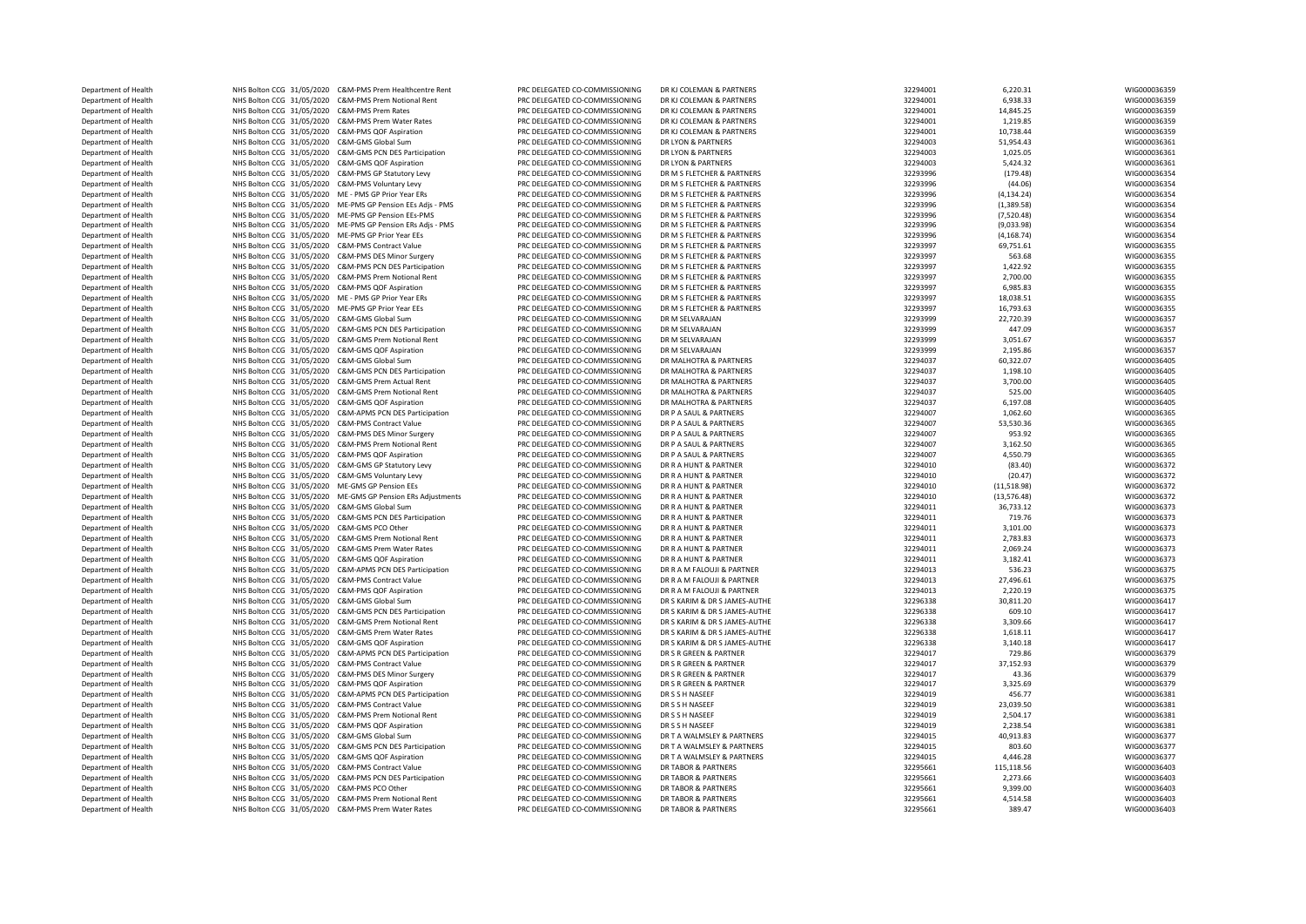| Department of Health | NHS Bolton CCG 31/05/2020 | C&M-PMS Prem Healthcentre Rent                     |
|----------------------|---------------------------|----------------------------------------------------|
| Department of Health | NHS Bolton CCG 31/05/2020 | C&M-PMS Prem Notional Rent                         |
| Department of Health | NHS Bolton CCG 31/05/2020 | C&M-PMS Prem Rates                                 |
| Department of Health | NHS Bolton CCG 31/05/2020 | C&M-PMS Prem Water Rates                           |
|                      |                           |                                                    |
| Department of Health | NHS Bolton CCG 31/05/2020 | C&M-PMS QOF Aspiration                             |
| Department of Health | NHS Bolton CCG 31/05/2020 | C&M-GMS Global Sum                                 |
| Department of Health | NHS Bolton CCG 31/05/2020 | C&M-GMS PCN DES Participation                      |
| Department of Health | NHS Bolton CCG 31/05/2020 | C&M-GMS QOF Aspiration                             |
| Department of Health | NHS Bolton CCG 31/05/2020 | C&M-PMS GP Statutory Levy                          |
|                      |                           |                                                    |
| Department of Health | NHS Bolton CCG 31/05/2020 | C&M-PMS Voluntary Levy                             |
| Department of Health | NHS Bolton CCG 31/05/2020 | ME - PMS GP Prior Year ERs                         |
| Department of Health | NHS Bolton CCG 31/05/2020 | ME-PMS GP Pension EEs Adjs - PMS                   |
| Department of Health | NHS Bolton CCG 31/05/2020 | ME-PMS GP Pension EEs-PMS                          |
| Department of Health | NHS Bolton CCG 31/05/2020 | ME-PMS GP Pension ERs Adjs - PMS                   |
| Department of Health | NHS Bolton CCG 31/05/2020 | ME-PMS GP Prior Year EEs                           |
|                      |                           |                                                    |
| Department of Health | NHS Bolton CCG 31/05/2020 | C&M-PMS Contract Value                             |
| Department of Health | NHS Bolton CCG 31/05/2020 | C&M-PMS DES Minor Surgery                          |
| Department of Health | NHS Bolton CCG 31/05/2020 | C&M-PMS PCN DES Participation                      |
| Department of Health | NHS Bolton CCG 31/05/2020 | C&M-PMS Prem Notional Rent                         |
| Department of Health | NHS Bolton CCG 31/05/2020 | C&M-PMS QOF Aspiration                             |
| Department of Health | NHS Bolton CCG 31/05/2020 | ME - PMS GP Prior Year ERs                         |
|                      |                           |                                                    |
| Department of Health | NHS Bolton CCG 31/05/2020 | ME-PMS GP Prior Year EEs                           |
| Department of Health | NHS Bolton CCG 31/05/2020 | C&M-GMS Global Sum                                 |
| Department of Health | NHS Bolton CCG 31/05/2020 | C&M-GMS PCN DES Participation                      |
| Department of Health | NHS Bolton CCG 31/05/2020 | C&M-GMS Prem Notional Rent                         |
| Department of Health |                           | NHS Bolton CCG 31/05/2020 C&M-GMS QOF Aspiration   |
| Department of Health | NHS Bolton CCG 31/05/2020 | C&M-GMS Global Sum                                 |
|                      |                           |                                                    |
| Department of Health | NHS Bolton CCG 31/05/2020 | C&M-GMS PCN DES Participation                      |
| Department of Health | NHS Bolton CCG 31/05/2020 | C&M-GMS Prem Actual Rent                           |
| Department of Health | NHS Bolton CCG 31/05/2020 | C&M-GMS Prem Notional Rent                         |
| Department of Health | NHS Bolton CCG 31/05/2020 | C&M-GMS QOF Aspiration                             |
| Department of Health | NHS Bolton CCG 31/05/2020 | C&M-APMS PCN DES Participation                     |
| Department of Health | NHS Bolton CCG 31/05/2020 | <b>C&amp;M-PMS Contract Value</b>                  |
|                      |                           |                                                    |
| Department of Health | NHS Bolton CCG 31/05/2020 | C&M-PMS DES Minor Surgery                          |
| Department of Health | NHS Bolton CCG 31/05/2020 | C&M-PMS Prem Notional Rent                         |
| Department of Health | NHS Bolton CCG 31/05/2020 | C&M-PMS QOF Aspiration                             |
| Department of Health | NHS Bolton CCG 31/05/2020 | C&M-GMS GP Statutory Levy                          |
| Department of Health | NHS Bolton CCG 31/05/2020 | C&M-GMS Voluntary Levy                             |
| Department of Health | NHS Bolton CCG 31/05/2020 | ME-GMS GP Pension EEs                              |
|                      |                           |                                                    |
| Department of Health | NHS Bolton CCG 31/05/2020 | ME-GMS GP Pension ERs Adjustments                  |
| Department of Health | NHS Bolton CCG 31/05/2020 | C&M-GMS Global Sum                                 |
| Department of Health | NHS Bolton CCG 31/05/2020 | C&M-GMS PCN DES Participation                      |
| Department of Health | NHS Bolton CCG 31/05/2020 | C&M-GMS PCO Other                                  |
| Department of Health | NHS Bolton CCG 31/05/2020 | C&M-GMS Prem Notional Rent                         |
|                      | NHS Bolton CCG 31/05/2020 | C&M-GMS Prem Water Rates                           |
| Department of Health |                           |                                                    |
| Department of Health | NHS Bolton CCG 31/05/2020 | C&M-GMS QOF Aspiration                             |
| Department of Health | NHS Bolton CCG 31/05/2020 | C&M-APMS PCN DES Participation                     |
| Department of Health | NHS Bolton CCG 31/05/2020 | C&M-PMS Contract Value                             |
| Department of Health | NHS Bolton CCG 31/05/2020 | C&M-PMS QOF Aspiration                             |
| Department of Health | NHS Bolton CCG 31/05/2020 | C&M-GMS Global Sum                                 |
| Department of Health | NHS Bolton CCG 31/05/2020 | C&M-GMS PCN DES Participation                      |
|                      |                           |                                                    |
| Department of Health | NHS Bolton CCG 31/05/2020 | C&M-GMS Prem Notional Rent                         |
| Department of Health | NHS Bolton CCG 31/05/2020 | C&M-GMS Prem Water Rates                           |
| Department of Health | NHS Bolton CCG 31/05/2020 | C&M-GMS QOF Aspiration                             |
| Department of Health | NHS Bolton CCG 31/05/2020 | C&M-APMS PCN DES Participation                     |
| Department of Health | NHS Bolton CCG 31/05/2020 | C&M-PMS Contract Value                             |
|                      |                           | C&M-PMS DES Minor Surgery                          |
| Department of Health | NHS Bolton CCG 31/05/2020 |                                                    |
| Department of Health | NHS Bolton CCG 31/05/2020 | C&M-PMS QOF Aspiration                             |
| Department of Health | NHS Bolton CCG 31/05/2020 | C&M-APMS PCN DES Participation                     |
| Department of Health | NHS Bolton CCG 31/05/2020 | C&M-PMS Contract Value                             |
| Department of Health | NHS Bolton CCG 31/05/2020 | C&M-PMS Prem Notional Rent                         |
| Department of Health | NHS Bolton CCG 31/05/2020 | C&M-PMS QOF Aspiration                             |
|                      |                           |                                                    |
| Department of Health | NHS Bolton CCG 31/05/2020 | C&M-GMS Global Sum                                 |
| Department of Health | NHS Bolton CCG 31/05/2020 | C&M-GMS PCN DES Participation                      |
| Department of Health | NHS Bolton CCG 31/05/2020 | C&M-GMS QOF Aspiration                             |
| Department of Health | NHS Bolton CCG 31/05/2020 | C&M-PMS Contract Value                             |
| Department of Health | NHS Bolton CCG 31/05/2020 | C&M-PMS PCN DES Participation                      |
| Department of Health | NHS Bolton CCG 31/05/2020 | C&M-PMS PCO Other                                  |
|                      |                           |                                                    |
| Department of Health | NHS Bolton CCG 31/05/2020 | C&M-PMS Prem Notional Rent                         |
| Department of Health |                           | NHS Bolton CCG 31/05/2020 C&M-PMS Prem Water Rates |
|                      |                           |                                                    |

| Department of Health |                                                      | NHS Bolton CCG 31/05/2020 C&M-PMS Prem Healthcentre Rent    | PRC DELEGATED CO-COMMISSIONING | DR KJ COLEMAN & PARTNERS      | 32294001 | 6,220.31     | WIG000036359 |
|----------------------|------------------------------------------------------|-------------------------------------------------------------|--------------------------------|-------------------------------|----------|--------------|--------------|
| Department of Health |                                                      | NHS Bolton CCG 31/05/2020 C&M-PMS Prem Notional Rent        | PRC DELEGATED CO-COMMISSIONING | DR KJ COLEMAN & PARTNERS      | 32294001 | 6,938.33     | WIG000036359 |
| Department of Health | NHS Bolton CCG 31/05/2020 C&M-PMS Prem Rates         |                                                             | PRC DELEGATED CO-COMMISSIONING | DR KJ COLEMAN & PARTNERS      | 32294001 | 14,845.25    | WIG000036359 |
|                      | NHS Bolton CCG 31/05/2020 C&M-PMS Prem Water Rates   |                                                             | PRC DELEGATED CO-COMMISSIONING | DR KJ COLEMAN & PARTNERS      | 32294001 | 1.219.85     | WIG000036359 |
| Department of Health |                                                      |                                                             |                                |                               |          |              |              |
| Department of Health | NHS Bolton CCG 31/05/2020                            | C&M-PMS QOF Aspiration                                      | PRC DELEGATED CO-COMMISSIONING | DR KJ COLEMAN & PARTNERS      | 32294001 | 10,738.44    | WIG000036359 |
| Department of Health | NHS Bolton CCG 31/05/2020 C&M-GMS Global Sum         |                                                             | PRC DELEGATED CO-COMMISSIONING | DR LYON & PARTNERS            | 32294003 | 51,954.43    | WIG000036361 |
| Department of Health |                                                      | NHS Bolton CCG 31/05/2020 C&M-GMS PCN DES Participation     | PRC DELEGATED CO-COMMISSIONING | DR LYON & PARTNERS            | 32294003 | 1,025.05     | WIG000036361 |
| Department of Health | NHS Bolton CCG 31/05/2020 C&M-GMS QOF Aspiration     |                                                             | PRC DELEGATED CO-COMMISSIONING | DR LYON & PARTNERS            | 32294003 | 5,424.32     | WIG000036361 |
| Department of Health | NHS Bolton CCG 31/05/2020                            | C&M-PMS GP Statutory Levy                                   | PRC DELEGATED CO-COMMISSIONING | DR M S FLETCHER & PARTNERS    | 32293996 | (179.48)     | WIG000036354 |
|                      |                                                      |                                                             |                                |                               |          |              |              |
| Department of Health | NHS Bolton CCG 31/05/2020 C&M-PMS Voluntary Levy     |                                                             | PRC DELEGATED CO-COMMISSIONING | DR M S FLETCHER & PARTNERS    | 32293996 | (44.06)      | WIG000036354 |
| Department of Health | NHS Bolton CCG 31/05/2020 ME - PMS GP Prior Year ERs |                                                             | PRC DELEGATED CO-COMMISSIONING | DR M S FLETCHER & PARTNERS    | 32293996 | (4, 134.24)  | WIG000036354 |
| Department of Health |                                                      | NHS Bolton CCG 31/05/2020 ME-PMS GP Pension EEs Adjs - PMS  | PRC DELEGATED CO-COMMISSIONING | DR M S FLETCHER & PARTNERS    | 32293996 | (1, 389.58)  | WIG000036354 |
| Department of Health | NHS Bolton CCG 31/05/2020 ME-PMS GP Pension EEs-PMS  |                                                             | PRC DELEGATED CO-COMMISSIONING | DR M S FLETCHER & PARTNERS    | 32293996 | (7,520.48)   | WIG000036354 |
| Department of Health |                                                      | NHS Bolton CCG 31/05/2020 ME-PMS GP Pension ERs Adjs - PMS  | PRC DELEGATED CO-COMMISSIONING | DR M S FLETCHER & PARTNERS    | 32293996 | (9,033.98)   | WIG000036354 |
|                      |                                                      |                                                             |                                |                               |          |              |              |
| Department of Health | NHS Bolton CCG 31/05/2020 ME-PMS GP Prior Year EEs   |                                                             | PRC DELEGATED CO-COMMISSIONING | DR M S FLETCHER & PARTNERS    | 32293996 | (4, 168.74)  | WIG000036354 |
| Department of Health | NHS Bolton CCG 31/05/2020 C&M-PMS Contract Value     |                                                             | PRC DELEGATED CO-COMMISSIONING | DR M S FLETCHER & PARTNERS    | 32293997 | 69,751.61    | WIG000036355 |
| Department of Health | NHS Bolton CCG 31/05/2020 C&M-PMS DES Minor Surgery  |                                                             | PRC DELEGATED CO-COMMISSIONING | DR M S FLETCHER & PARTNERS    | 32293997 | 563.68       | WIG000036355 |
| Department of Health |                                                      | NHS Bolton CCG 31/05/2020 C&M-PMS PCN DES Participation     | PRC DELEGATED CO-COMMISSIONING | DR M S FLETCHER & PARTNERS    | 32293997 | 1,422.92     | WIG000036355 |
| Department of Health |                                                      | NHS Bolton CCG 31/05/2020 C&M-PMS Prem Notional Rent        | PRC DELEGATED CO-COMMISSIONING | DR M S FLETCHER & PARTNERS    | 32293997 | 2,700.00     | WIG000036355 |
|                      |                                                      |                                                             |                                |                               |          |              |              |
| Department of Health | NHS Bolton CCG 31/05/2020 C&M-PMS QOF Aspiration     |                                                             | PRC DELEGATED CO-COMMISSIONING | DR M S FLETCHER & PARTNERS    | 32293997 | 6,985.83     | WIG000036355 |
| Department of Health | NHS Bolton CCG 31/05/2020 ME - PMS GP Prior Year ERs |                                                             | PRC DELEGATED CO-COMMISSIONING | DR M S FLETCHER & PARTNERS    | 32293997 | 18,038.51    | WIG000036355 |
| Department of Health | NHS Bolton CCG 31/05/2020 ME-PMS GP Prior Year EEs   |                                                             | PRC DELEGATED CO-COMMISSIONING | DR M S FLETCHER & PARTNERS    | 32293997 | 16,793.63    | WIG000036355 |
| Department of Health | NHS Bolton CCG 31/05/2020                            | C&M-GMS Global Sum                                          | PRC DELEGATED CO-COMMISSIONING | DR M SELVARAJAN               | 32293999 | 22,720.39    | WIG000036357 |
| Department of Health |                                                      | NHS Bolton CCG 31/05/2020 C&M-GMS PCN DES Participation     | PRC DELEGATED CO-COMMISSIONING | DR M SELVARAJAN               | 32293999 | 447.09       | WIG000036357 |
|                      |                                                      |                                                             |                                |                               |          |              |              |
| Denartment of Health |                                                      | NHS Bolton CCG 31/05/2020 C&M-GMS Prem Notional Rent        | PRC DELEGATED CO-COMMISSIONING | DR M SELVARAJAN               | 32293999 | 3,051.67     | WIG000036357 |
| Department of Health | NHS Bolton CCG 31/05/2020 C&M-GMS QOF Aspiration     |                                                             | PRC DELEGATED CO-COMMISSIONING | DR M SFI VARAIAN              | 32293999 | 2,195.86     | WIG000036357 |
| Department of Health | NHS Bolton CCG 31/05/2020 C&M-GMS Global Sum         |                                                             | PRC DELEGATED CO-COMMISSIONING | DR MALHOTRA & PARTNERS        | 32294037 | 60,322.07    | WIG000036405 |
| Department of Health |                                                      | NHS Bolton CCG 31/05/2020 C&M-GMS PCN DES Participation     | PRC DELEGATED CO-COMMISSIONING | DR MALHOTRA & PARTNERS        | 32294037 | 1,198.10     | WIG000036405 |
| Department of Health | NHS Bolton CCG 31/05/2020 C&M-GMS Prem Actual Rent   |                                                             | PRC DELEGATED CO-COMMISSIONING | DR MALHOTRA & PARTNERS        | 32294037 | 3,700.00     | WIG000036405 |
|                      |                                                      |                                                             |                                |                               |          |              |              |
| Department of Health |                                                      | NHS Bolton CCG 31/05/2020 C&M-GMS Prem Notional Rent        | PRC DELEGATED CO-COMMISSIONING | DR MALHOTRA & PARTNERS        | 32294037 | 525.00       | WIG000036405 |
| Department of Health | NHS Bolton CCG 31/05/2020                            | C&M-GMS QOF Aspiration                                      | PRC DELEGATED CO-COMMISSIONING | DR MALHOTRA & PARTNERS        | 32294037 | 6,197.08     | WIG000036405 |
| Department of Health |                                                      | NHS Bolton CCG 31/05/2020 C&M-APMS PCN DES Participation    | PRC DELEGATED CO-COMMISSIONING | DR P A SAUL & PARTNERS        | 32294007 | 1,062.60     | WIG000036365 |
| Department of Health | NHS Bolton CCG 31/05/2020 C&M-PMS Contract Value     |                                                             | PRC DELEGATED CO-COMMISSIONING | DR P A SAUL & PARTNERS        | 32294007 | 53,530.36    | WIG000036365 |
| Department of Health | NHS Bolton CCG 31/05/2020 C&M-PMS DES Minor Surgery  |                                                             | PRC DELEGATED CO-COMMISSIONING | DR P A SAUL & PARTNERS        | 32294007 | 953.92       | WIG000036365 |
|                      |                                                      |                                                             |                                |                               |          |              |              |
| Department of Health |                                                      | NHS Bolton CCG 31/05/2020 C&M-PMS Prem Notional Rent        | PRC DELEGATED CO-COMMISSIONING | DR P A SAUL & PARTNERS        | 32294007 | 3,162.50     | WIG000036365 |
| Denartment of Health | NHS Bolton CCG 31/05/2020 C&M-PMS QOF Aspiration     |                                                             | PRC DELEGATED CO-COMMISSIONING | DR P A SAUL & PARTNERS        | 32294007 | 4.550.79     | WIG000036365 |
| Department of Health | NHS Bolton CCG 31/05/2020                            | C&M-GMS GP Statutory Levy                                   | PRC DELEGATED CO-COMMISSIONING | DR R A HUNT & PARTNER         | 32294010 | (83.40)      | WIG000036372 |
| Department of Health | NHS Bolton CCG 31/05/2020                            | C&M-GMS Voluntary Levy                                      | PRC DELEGATED CO-COMMISSIONING | DR R A HUNT & PARTNER         | 32294010 | (20.47)      | WIG000036372 |
| Department of Health | NHS Bolton CCG 31/05/2020 ME-GMS GP Pension EEs      |                                                             | PRC DELEGATED CO-COMMISSIONING | DR R A HUNT & PARTNER         | 32294010 | (11,518.98)  | WIG000036372 |
| Department of Health |                                                      | NHS Bolton CCG 31/05/2020 ME-GMS GP Pension ERs Adjustments | PRC DELEGATED CO-COMMISSIONING | DR R A HUNT & PARTNER         | 32294010 |              | WIG000036372 |
|                      |                                                      |                                                             |                                |                               |          | (13, 576.48) |              |
| Department of Health | NHS Bolton CCG 31/05/2020 C&M-GMS Global Sum         |                                                             | PRC DELEGATED CO-COMMISSIONING | DR R A HUNT & PARTNER         | 32294011 | 36,733.12    | WIG000036373 |
| Department of Health |                                                      | NHS Bolton CCG 31/05/2020 C&M-GMS PCN DES Participation     | PRC DELEGATED CO-COMMISSIONING | DR R A HUNT & PARTNER         | 32294011 | 719.76       | WIG000036373 |
| Department of Health | NHS Bolton CCG 31/05/2020 C&M-GMS PCO Other          |                                                             | PRC DELEGATED CO-COMMISSIONING | DR R A HUNT & PARTNER         | 32294011 | 3,101.00     | WIG000036373 |
| Department of Health |                                                      | NHS Bolton CCG 31/05/2020 C&M-GMS Prem Notional Rent        | PRC DELEGATED CO-COMMISSIONING | DR R A HUNT & PARTNER         | 32294011 | 2,783.83     | WIG000036373 |
| Department of Health | NHS Bolton CCG 31/05/2020                            | C&M-GMS Prem Water Rates                                    | PRC DELEGATED CO-COMMISSIONING | DR R A HUNT & PARTNER         | 32294011 | 2,069.24     | WIG000036373 |
|                      |                                                      |                                                             |                                |                               |          |              |              |
| Department of Health | NHS Bolton CCG 31/05/2020                            | C&M-GMS QOF Aspiration                                      | PRC DELEGATED CO-COMMISSIONING | DR R A HUNT & PARTNER         | 32294011 | 3,182.41     | WIG000036373 |
| Department of Health |                                                      | NHS Bolton CCG 31/05/2020 C&M-APMS PCN DES Participation    | PRC DELEGATED CO-COMMISSIONING | DR R A M FALOUJI & PARTNER    | 32294013 | 536.23       | WIG000036375 |
| Department of Health | NHS Bolton CCG 31/05/2020                            | <b>C&amp;M-PMS Contract Value</b>                           | PRC DELEGATED CO-COMMISSIONING | DR R A M FALOUJI & PARTNER    | 32294013 | 27,496.61    | WIG000036375 |
| Department of Health | NHS Bolton CCG 31/05/2020 C&M-PMS QOF Aspiration     |                                                             | PRC DELEGATED CO-COMMISSIONING | DR R A M FALOUJI & PARTNER    | 32294013 | 2,220.19     | WIG000036375 |
| Department of Health | NHS Bolton CCG 31/05/2020                            | C&M-GMS Global Sum                                          | PRC DELEGATED CO-COMMISSIONING | DR S KARIM & DR S JAMES-AUTHE | 32296338 | 30,811.20    | WIG000036417 |
|                      |                                                      |                                                             |                                |                               |          |              |              |
| Department of Health | NHS Bolton CCG 31/05/2020                            | C&M-GMS PCN DES Participation                               | PRC DELEGATED CO-COMMISSIONING | DR S KARIM & DR S JAMES-AUTHE | 32296338 | 609.10       | WIG000036417 |
| Department of Health | NHS Bolton CCG 31/05/2020                            | C&M-GMS Prem Notional Rent                                  | PRC DELEGATED CO-COMMISSIONING | DR S KARIM & DR S JAMES-AUTHE | 32296338 | 3,309.66     | WIG000036417 |
| Department of Health | NHS Bolton CCG 31/05/2020                            | C&M-GMS Prem Water Rates                                    | PRC DELEGATED CO-COMMISSIONING | DR S KARIM & DR S JAMES-AUTHE | 32296338 | 1,618.11     | WIG000036417 |
| Department of Health | NHS Bolton CCG 31/05/2020                            | C&M-GMS OOF Aspiration                                      | PRC DELEGATED CO-COMMISSIONING | DR S KARIM & DR S JAMES-AUTHE | 32296338 | 3,140.18     | WIG000036417 |
| Department of Health |                                                      | NHS Bolton CCG 31/05/2020 C&M-APMS PCN DES Participation    | PRC DELEGATED CO-COMMISSIONING | DR S R GREEN & PARTNER        | 32294017 | 729.86       | WIG000036379 |
|                      |                                                      |                                                             |                                |                               |          |              |              |
| Department of Health | NHS Bolton CCG 31/05/2020 C&M-PMS Contract Value     |                                                             | PRC DELEGATED CO-COMMISSIONING | DR S R GREEN & PARTNER        | 32294017 | 37,152.93    | WIG000036379 |
| Department of Health | NHS Bolton CCG 31/05/2020 C&M-PMS DES Minor Surgery  |                                                             | PRC DELEGATED CO-COMMISSIONING | DR S R GREEN & PARTNER        | 32294017 | 43.36        | WIG000036379 |
| Department of Health | NHS Bolton CCG 31/05/2020 C&M-PMS QOF Aspiration     |                                                             | PRC DELEGATED CO-COMMISSIONING | DR S R GREEN & PARTNER        | 32294017 | 3,325.69     | WIG000036379 |
| Department of Health |                                                      | NHS Bolton CCG 31/05/2020 C&M-APMS PCN DES Participation    | PRC DELEGATED CO-COMMISSIONING | DR S S H NASEEF               | 32294019 | 456.77       | WIG000036381 |
| Department of Health | NHS Bolton CCG 31/05/2020                            | <b>C&amp;M-PMS Contract Value</b>                           | PRC DELEGATED CO-COMMISSIONING | DR S S H NASEEF               | 32294019 | 23,039.50    | WIG000036381 |
|                      |                                                      |                                                             |                                |                               |          |              |              |
| Department of Health |                                                      | NHS Bolton CCG 31/05/2020 C&M-PMS Prem Notional Rent        | PRC DELEGATED CO-COMMISSIONING | DR S S H NASEEF               | 32294019 | 2,504.17     | WIG000036381 |
| Department of Health | NHS Bolton CCG 31/05/2020 C&M-PMS QOF Aspiration     |                                                             | PRC DELEGATED CO-COMMISSIONING | DR S S H NASEEF               | 32294019 | 2,238.54     | WIG000036381 |
| Department of Health | NHS Bolton CCG 31/05/2020 C&M-GMS Global Sum         |                                                             | PRC DELEGATED CO-COMMISSIONING | DR T A WALMSLEY & PARTNERS    | 32294015 | 40,913.83    | WIG000036377 |
| Department of Health |                                                      | NHS Bolton CCG 31/05/2020 C&M-GMS PCN DES Participation     | PRC DELEGATED CO-COMMISSIONING | DR T A WALMSLEY & PARTNERS    | 32294015 | 803.60       | WIG000036377 |
| Department of Health | NHS Bolton CCG 31/05/2020 C&M-GMS QOF Aspiration     |                                                             | PRC DELEGATED CO-COMMISSIONING | DR T A WALMSLEY & PARTNERS    | 32294015 | 4,446.28     | WIG000036377 |
|                      |                                                      |                                                             |                                |                               |          |              |              |
| Department of Health | NHS Bolton CCG 31/05/2020                            | <b>C&amp;M-PMS Contract Value</b>                           | PRC DELEGATED CO-COMMISSIONING | DR TABOR & PARTNERS           | 32295661 | 115,118.56   | WIG000036403 |
| Department of Health | NHS Bolton CCG 31/05/2020                            | C&M-PMS PCN DES Participation                               | PRC DELEGATED CO-COMMISSIONING | DR TABOR & PARTNERS           | 32295661 | 2,273.66     | WIG000036403 |
| Denartment of Health | NHS Bolton CCG 31/05/2020 C&M-PMS PCO Other          |                                                             | PRC DELEGATED CO-COMMISSIONING | DR TABOR & PARTNERS           | 32295661 | 9.399.00     | WIG000036403 |
| Department of Health |                                                      | NHS Bolton CCG 31/05/2020 C&M-PMS Prem Notional Rent        | PRC DELEGATED CO-COMMISSIONING | DR TABOR & PARTNERS           | 32295661 | 4,514.58     | WIG000036403 |
| Department of Health | NHS Bolton CCG 31/05/2020 C&M-PMS Prem Water Rates   |                                                             | PRC DELEGATED CO-COMMISSIONING | DR TABOR & PARTNERS           | 32295661 | 389.47       | WIG000036403 |
|                      |                                                      |                                                             |                                |                               |          |              |              |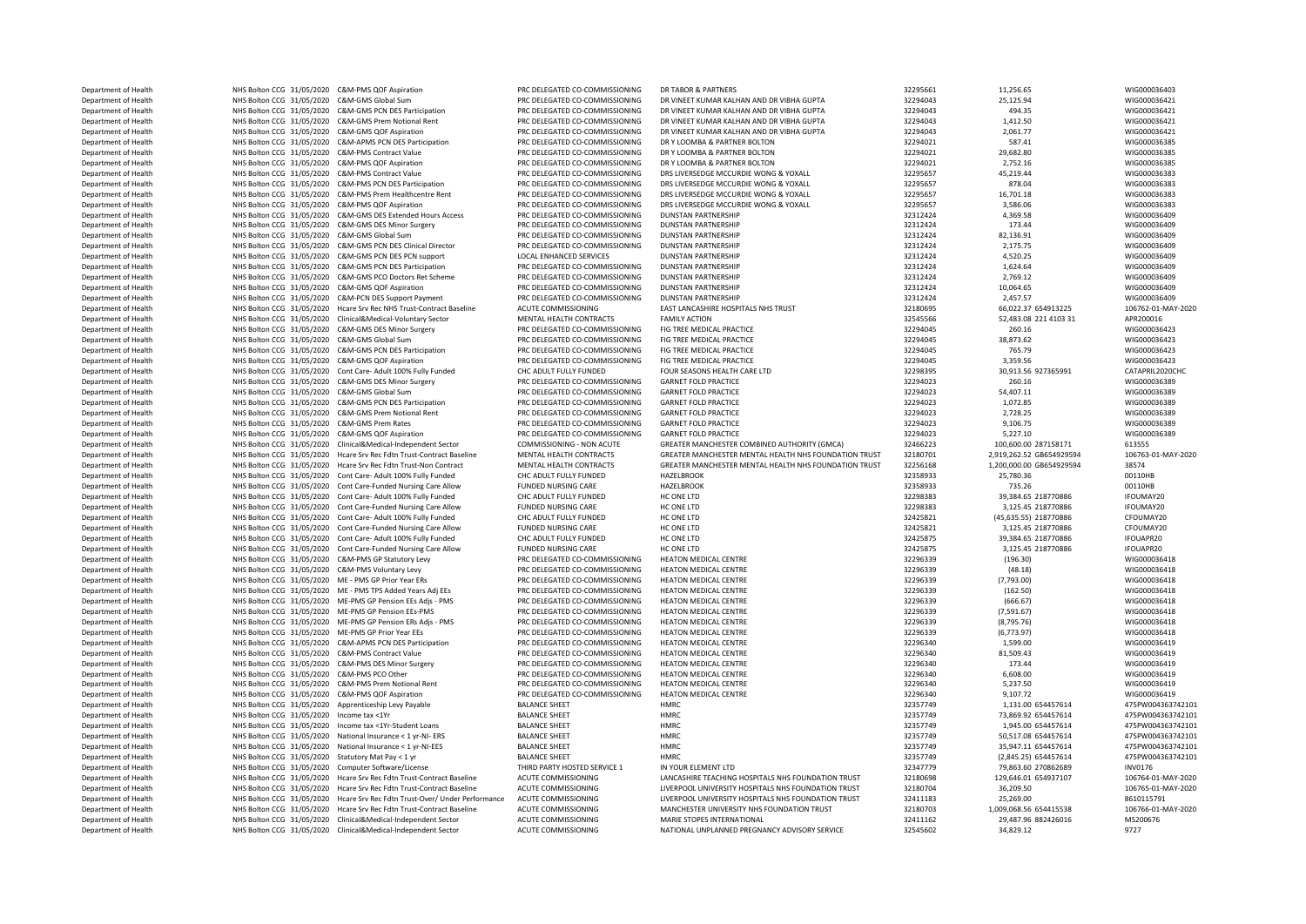NHS Bolton CCG 31/05/2020 C&M-GMS DES Minor Surgery DRES Bolton CCG 31/05/2020 ME-PMS GP Pension EEs-PMS Department of Health **NHS Bolton CCG 31/05/2020** C&M-PMS Contract Value NHS Bolton CCG 31/05/2020 Apprenticeship Levy Payable DEPARTMENT OF ALTER NHS Bolton CCG 31/05/2020 Clinical&Medical-Independent Sector

Department of Health 25.125.65 NHS Bolton CCG 31/05/2020 C&M-PMS QOF Aspiration PRO PRC DELEGATED CO-COMMISSIONING DR TABOR & PARTNERS PRO RETAGATED CO-COMMISSIONING DR TABOR & PARTNERS AND DR VIBHA GUPTA 2295661 25.125.94 Department of Health NHS Bolton CCG 31/05/2020 C&M-GMS Global Sum PRC DELEGATED CO-COMMISSIONING DR VINEET KUMAR KALHAN AND DR VIBHA GUPTA 32294043 25,125.94 25,125.94 WIG00036421 WIG00036421 WIG00036421 WIG00036421 WIG000 Department of Health 2015 NHS Bolton CCG 31/05/2020 C&M-GMS PCM DES Participation PRC DELEGATED CO-COMMISSIONING DR VINEET KUMAR KALHAN AND DR VIBHA GUPTA 32294043 494.35 494.35 WIG000036421 21:0500036421 WIG000036421 2020 Department of Health NHS Bolton CCG 31/05/2020 C&M-GMS Prem Notional Rent PRC DELEGATED CO-COMMISSIONING DR VINEET KUMAR KALHAN AND DR VBHA GUPTA 32294043 1,412.50 1,412.50 WIG000036421<br>Department of Health NHS Bolton CC 3 Department of Health NHS Bolton CCG 31/05/2020 C&M-GMS QOF Aspiration PRC DELEGATED CO-COMMISSIONING DR VINEET KUMAR KALHAN AND DR VIBHA GUPTA 32294043 2,061.77 WIG000036421 Department of Health NHS Bolton CCG 31/05/2020 C&M-APMS PCN DES Participation PRC DELEGATED CO-COMMISSIONING DR Y LOOMBA & PARTNER BOLTON 32294021 587.41 587.41 WIG000036385<br>Department of Health NHS Bolton CCG 31/05/2020 C Department of Health NHS Bolton CCG 31/05/2020 C&M-PMS Contract Value PRC DELEGATED CO-COMMISSIONING DR Y LOOMBA & PARTNER BOLTON 32294021 29,682.80 29,682.80 WIG000036385 Department of Health 2,752.16 NHS Bolton CCG 31/05/2020 C&M-PMS QOF Aspiration PRO PRC DELEGATED CO-COMMISSIONING DR Y LOOMBA & PARTNER BOLTON 30294021 32294021 2,752.16 2,752.16 WIG00036383<br>Department of Health MHS Bolton Department of Health NHS Bolton CCG 31/05/2020 C&M-PMS Contract Value PRC DELEGATED CO-COMMISSIONING DRS LIVERSEDGE MCCURDIE WONG & YOXALL 32295657 45,219.44 WIG000036383<br>Department of Health NHS Bolton CCG 31/05/2020 C&M-Department of Health NHS Bolton CCG 31/05/2020 C&M-PMS PCN DES Participation PRC DELEGATED CO-COMMISSIONING DRS LIVERSEDGE MCCURDIE WONG & YOXALL 32295657 878.04 878.04 WIG000036383 Department of Health NHS Bolton CCG 31/05/2020 C&M-PMS Prem Healthcentre Rent PRC DELEGATED CO-COMMISSIONING DRS LIVERSEDGE MCCURDIE WONG & YOXALL 32295657 16,701.18 WIG00036383<br>Department of Health NHS Bolton CCG 31/05/20 Department of Health NHS Bolton CCG 31/05/2020 C&M-PMS QOF Aspiration PRC DELEGATED CO-COMMISSIONING DRS LIVERSEDGE MCCURDIE WONG & YOXALL 32295657 3,586.06 3,586.06 WIG000036383 Department of Health **1992 MHS Bolton CCG 31/05/2020 C&M-GMS DES** Extended Hours Access PRC DELEGATED CO-COMMISSIONING DUNSTAN PARTNERSHIP 32312424 32312424 4,369.58 WIG00036409 WIG00036409<br>Department of Health MHS Bolton Department of Health MHS Bolton CCG 31/05/2020 C&M-GMS DES Minor Surgery PRC DELEGATED CO-COMMISSIONING DUNSTAN PARTNERSHIP 32312424 32312424 173.44 173.44 173.44 WIG00036409<br>Department of Health MHS Bolton CCG 31/05/2020 Department of Health MHS Bolton CCG 31/05/2020 C&M-GMS Global Sum PRC DELEGATED CO-COMMISSIONING DUNSTAN PARTNERSHIP 32312424 32312424 82,136.91 82,136.91 WIG000036409 NECLEGATED CO-COMMISSIONING DUNSTAN PARTNERSHIP 323124 Department of Health NHS Bolton CCG 31/05/2020 C&M-GMS PCM DES Clinical Director PRC DELEGATED CO-COMMISSIONING DUNSTAN PARTNERSHIP 32312424 32312424 2,175.75 WIG000036409 NGCO0036409 NGCO0036409 NGCOO0036409 NGCOO0036409 Department of Health NHS Bolton CCG 31/05/2020 C&M-GMS PCN DES PCN support LOCAL ENHANCED SERVICES DUNSTAN PARTNERSHIP 32312424 4,520.25 WIG000036409 Department of Health NHS Bolton CCG 31/05/2020 C&M-GMS PCM DES Participation PRC DELEGATED CO-COMMISSIONING DUNSTAN PARTNERSHIP 32312424 32312424 1,624.64 1,624.64 WIG00036409<br>Department of Health NHS Bolton CCG 31/05/2020 Department of Health NHS Bolton CCG 31/05/2020 C&M-GMS PCO Doctors Ret Scheme PRC DELEGATED CO-COMMISSIONING DUNSTAN PARTNERSHIP 32312424 32312424 2,769.12 WIG00036409<br>Department of Health NHS Bolton CCG 31/05/2020 C&M-GMS Department of Health NHS Bolton CCG 31/05/2020 C&M-GMS QOF Aspiration PRC DELEGATED CO-COMMISSIONING DUNSTAN PARTNERSHIP 32312424 32312424 10,064.65 WIG000036409 Department of Health NHS Bolton CCG 31/05/2020 C&M-PCN DES Support Payment PRC DELEGATED CO-COMMISSIONING DUNSTAN PARTNERSHIP 32312424 2,457.57 WIG000036409 NG000036409<br>Department of Health NHS Bolton CCG 31/05/2020 Heare Department of Health MHS Bolton CCG 31/05/2020 Hcare Srv Rec NHS Trust-Contract Baseline ACUTE COMMISSIONING EAST LANCASHIRE HOSPITALS NHS TRUST 32180695 66,022.37 654913225 106762-01-1<br>Department of Health NHS Bolton CCG Department of Health MHS Bolton CCG 31/05/2020 Clinical&Medical-Voluntary Sector MENTAL HEALTH CONTRACTS FAMILY ACTION FAMILY ACTION 32545566 52,483.08 221 4103 31 APR200016<br>Department of Health MHS Bolton CCG 31/05/2020 C Department of Health NHS Bolton CCG 31/05/2020 C&M-GMS DES Minor Surgery PRC DELEGATED CO-COMMISSIONING FIG TREE MEDICAL PRACTICE 32294045 260.16 260.16 260.16 WIG00036423<br>Department of Health NHS Bolton CCG 31/05/2020 C& Department of Health NHS Bolton CCG 31/05/2020 C&M-GMS Global Sum PRC DELEGATED CO-COMMISSIONING FIG TREE MEDICAL PRACTICE 32294045 38,873.62 38,873.62 WIG000036423 Department of Health NHS Bolton CCG 31/05/2020 C&M-GMS PCM DES Participation PRC DELEGATED CO-COMMISSIONING FIG TREE MEDICAL PRACTICE 32294045 765.79 756.79 WIG00036423<br>Department of Health NHS Bolton CCG 31/05/2020 C&M-GM Department of Health Product Department of Health NHS Bolton CCG 31/05/2020 C&M-GMS QOF Aspiration PRC DELEGATED CO-COMMISSIONING FIG TREE MEDICAL PRACTICE 32094045 3359.56 3359.56 WIG000036423 Department of Health NHS Bolton CCG 31/05/2020 Cont Care- Adult 100% Fully Funded CHC ADULT FULLY FUNDED FOUR SEASONS HEALTH CARE LTD 32298395 30,913.56 927365991 CATAPRIL2020CHC CONTROLLY FUNDED FOUR SEASONS HEALTH CARE L Department of Health NHS Bolton CCG 31/05/2020 C&M-GMS Global Sum PRC DELEGATED CO-COMMISSIONING GARNET FOLD PRACTICE 32294023 54,407.11 WIG000036389 Department of Health MHS Bolton CCG 31/05/2020 C&M-GMS PCN DES Participation PRC DELEGATED CO-COMMISSIONING GARNET FOLD PRACTICE ASSAULT AND RESERVE TO DELEGATED CO-COMMISSIONING GARNET FOLD PRACTICE 32294023 2.728.25 2.72 Department of Health NHS Bolton CCG 31/05/2020 C&M-GMS Prem Notional Rent PRC DELEGATED CO-COMMISSIONING GARNET FOLD PRACTICE 32294023 2,728.25 2,728.25 WIG00036389<br>Department of Health NHS Bolton CCG 31/05/2020 C&M-GMS Pr Department of Health NHS Bolton CCG 31/05/2020 C&M-GMS Prem Rates PRC DELEGATED CO-COMMISSIONING GARNET FOLD PRACTICE 32294023 9,106.75 WIG000036389 Department of Health MHS Bolton CCG 31/05/2020 C&M-GMS QOF Aspiration PRC DELEGATED CO-COMMISSIONING GARNET FOLD PRACTICE (3294023 5,227.10 5,227.10 MIGO00036389<br>Department of Health MHS Bolton CCG 31/05/2020 Clinical&Medi Department of Health NHS Bolton CCG 31/05/2020 Clinical&Medical-Independent Sector COMMISSIONING - NON ACUTE GREATER MANCHESTER COMBINED AUTHORITY (GMCA) 32466223 100,600.00 287158171 613555<br>Department of Health NHS Bolton Department of Health NHS Bolton CCG 31/05/2020 Hcare Srv Rec Fdtn Trust-Contract Baseline MENTAL HEALTH CONTRACTS GREATER MANCHESTER MENTAL HEALTH NHS FOUNDATION TRUST 32180701 2,919,262.52 GB654929594 106763-01-MAY-2020 1 Department of Health NHS Bolton CCG 31/05/2020 Hcare Srv Rec Fdtn Trust-Non Contract MENTAL HEALTH CONTRACTS GREATER MANCHESTER MENTAL HEALTH NHS FOUNDATION TRUST 32256168 1,200,000.00 GB654929594 38574<br>Department of Healt Department of Health NHS Bolton CCG 31/05/2020 Cont Care- Adult 100% Fully Funded CHC ADULT FULLY FUNDED HAZELBROOK 32358933 25,780.36 25,780.36 25,780.36 25,780.36 25,780.36 25,780.36 25,780.36 25,780.36 25,780.36 25,780 Department of Health NHS Bolton CCG 31/05/2020 Cont Care-Funded Nursing Care Allow FUNDED NURSING CARE HAZELBROOK HAZELBROOK 33358933 735.26 735.26 735.26 00110HB 7388665 218770886 00110HB 739.384.65 218770886 1FOUMAY20 Department of Health NHS Bolton CCG 31/05/2020 Cont Care- Adult 100% Fully Funded CHC ADULT FULLY FUNDED HC ONE LTD 32298383 39,384.65 218770886 IFOUMAY20 IFOUMAY20 Cont Care- Adult 100% Fully Funded CHC ADULT FULLY FUNDED Department of Health NHS Bolton CCG 31/05/2020 Cont Care-Funded Nursing Care Allow FUNDED NURSING CARE HC ONE LTD STATES HC ONE TO DELLY RESULTS AND A STATES AND A STATES AND A STATES AND RESULTS A STATES OF THE ONLY A STA Department of Health NHS Bolton CCG 31/05/2020 Cont Care- Adult 100% Fully Funded CHC ADULT FULLY FUNDED HC ONE LTD HC ONE LTD 32425821 (45,635.55) 218770886 CFOUMAY20<br>Department of Health NHS Bolton CCG 31/05/2020 Cont C Department of Health NHS Bolton CCG 31/05/2020 Cont Care-Funded Nursing Care Allow FUNDED NURSING CARE HC ONE LTD 32425821 3,125.45 218770886 CFOUMAY20<br>Department of Health NHS Bolton CCG 31/05/2020 Cont Care-Adult 100% Fu Department of Health **1992-100 NHS Bolton CCG 31/05/2020** Cont Care- Adult 100% Fully Funded CHC ADULT FULLY FUNDED HC ONE LTD HC ONE LTD 3242575 39,384.65 218770886 IFOUAPR20<br>Department of Health 3125.45 218770886 NFS NtS Department of Health NHS Bolton CCG 31/05/2020 Cont Care-Funded Nursing Care Allow FUNDED NURSING CARE HC ONE LTD HC ONE LTD 3242575 3,125.45 218770886 IFOUAPR20 IFOUAPR20 Department of Health NHS Bolton CCG 31/05/2020 C&M-PMS GP Statutory Levy PRC DELEGATED CO-COMMISSIONING HEATON MEDICAL CENTRE 32296339 32296339 (196.30) WIG00036418<br>Department of Health NHS Bolton CCG 31/05/2020 C&M-PMS Vo NHS Bolton CCG 31/05/2020 C&M-PMS Voluntary Levy PRC DELEGATED CO-COMMISSIONING HEATON MEDICAL CENTRE 32296339 (48.18) (48.18) WIG000036418<br>NHS Bolton CCG 31/05/2020 C&M-PMS Voluntary Levy PRC DELEGATED CO-COMMISSIONING HE Department of Health NHS Bolton CCG 31/05/2020 ME - PMS GP Prior Year ERs PRC DELEGATED CO-COMMISSIONING HEATON MEDICAL CENTRE 32296339 (7,793.00) WIG000036418 Department of Health NHS Bolton CCG 31/05/2020 ME - PMS TPS Added Years Adj EEs PRC DELEGATED CO-COMMISSIONING HEATON MEDICAL CENTRE 3296339 32296339 (162.50) WIG000036418<br>Department of Health NHS Bolton CCG 31/05/2020 ME-Department of Health NHS Bolton CCG 31/05/2020 ME-PMS GP Pension EEs Adjs - PMS PRC DELEGATED CO-COMMISSIONING HEATON MEDICAL CENTRE 32296339 (666.67) (666.67) WIG000036418<br>Department of Health NHS Bolton CCG 31/05/2020 ME Department of Health NHS Bolton CCG 31/05/2020 ME-PMS GP Pension ERS Adjs - PMS PRC DELEGATED CO-COMMISSIONING HEATON MEDICAL CENTRE 32296339 (8,795.76) (8,795.76) WIG000036418<br>Department of Health NHS Bolton CCG 31/05/202 Department of Health **1998 MHS Bolton CCG 31/05/2020 ME-PMS GP Prior Year EEs** PRC DELEGATED CO-COMMISSIONING HEATON MEDICAL CENTRE 3229639 (6,773.97) 7<br>Department of Health MHS Bolton CCG 31/05/2020 C&M-APMS PCN DES Parti NHS Bolton CCG 31/05/2020 C&M-APMS PCN DES Participation PRC DELEGATED CO-COMMISSIONING HEATON MEDICAL CENTRE 32900 32296340 1,599.00 1,599.00 WIG00036419<br>NHS Bolton CCG 31/05/2020 C&M-PMS Contract Value (Value and PRC DEL Department of Health 23.44 NHS Bolton CCG 31/05/2020 C&M-PMS DES Minor Surgery PRC DELEGATED CO-COMMISSIONING HEATON MEDICAL CENTRE 3299340 32296340 173.44 32296340 173.44 WIG000036419 Department of Health NHS Bolton CCG 31/05/2020 C&M-PMS PCO Other PRC DELEGATED CO-COMMISSIONING HEATON MEDICAL CENTRE 32296340 5,608.00 6,608.00 MIG000036419 WIG000036419 WIG00036419 PRC DELEGATED CO-COMMISSIONING HEATON M Department of Health NHS Bolton CCG 31/05/2020 C&M-PMS Prem Notional Rent PRC DELEGATED CO-COMMISSIONING HEATON MEDICAL CENTRE 37296540 Department of Health 22196340 NHS Bolton CCG 31/05/2020 C&M-PMS QOF Aspiration PRC DELEGATED CO-COMMISSIONING HEATON MEDICAL CENTRE 2235749 32357749 9 9,107.72 WIG000036419 975PW004363742101 9,107.72 MISBOLTON CCG 31/05/20 Department of Health NHS Bolton CCG 31/05/2020 Income tax <1Yr BALANCE SHEET HMRC 32357749 73,869.92 654457614 475PW004363742101 Pepartment of Health NHS Bolton CCG 31/05/2020 Income tax <1Yr-Student Loans BALANCE SHEET HMRC 33357749 32357749 1,945.00 654457614 475PW004363742101<br>Department of Health NHS Rolton CCG 31/05/2020 Income tax <1 vr-NI- F NHS Bolton CCG 31/05/2020 National Insurance < 1 yr-NI- ERS BALANCE SHEET HMRC 32357749 50,517.08 654457614 475PW004363742101<br>
NATIONAL SERVEN DEPARTMENT DES BALANCE SHEET HARP HARP S2357749 32357749 25 647.31 €54457614 Department of Health NHS Bolton CCG 31/05/2020 National Insurance < 1 yr-NI-EES BALANCE SHEET HMRC HMRC 32357749 35,947.11 654457614 475PW004363742101 Pepartment of Health MHS Bolton CCG 31/05/2020 Statutory Mat Pay < 1 yr BALANCE SHEET HIRD PARTY HORTC HIRD PARTY HORTCH HMRC 32357749 (2,845.25) 654457614 475PW004363742101<br>Department of Health NHS Bolton CCG 31/05/2020 Department of Health NHS Bolton CCG 31/05/2020 Computer Software/License THIRD PARTY HOSTED SERVICE 1 IN YOUR ELEMENT LTD 32347779 79,863.60 270862689 INV0176 79,863.60 270862689 INV0176 INV0176 INV0176 INV01776 11 11 11 1 Department of Health NHS Bolton CCG 31/05/2020 Hcare Srv Rec Fdtn Trust-Contract Baseline ACUTE COMMISSIONING LANCASHIRE TEACHING HOSPITALS NHS FOUNDATION TRUST 32180698 129,646.01 654937107 106764-01-MAY-2020 106764-01-MA Department of Health NHS Bolton CCG 31/05/2020 Hcare Srv Rec Fdtn Trust-Contract Baseline ACUTE COMMISSIONING LIVERPOOL UNIVERSITY HOSPITALS NHS FOUNDATION TRUST 32180704 36,209.50 3180704 36,209.50 106765-01-MAY-2020 1067 Department of Health 25,269.00 NHS Bolton CCG 31/05/2020 Hcare Srv Rec Fdtn Trust-Over/ Under Performance ACUTE COMMISSIONING LIVERPOOL UNIVERSITY HOSPITALS NHS FOUNDATION TRUST 32411183 25,269.00 25,269.00 8610115791 8610 Department of Health NHS Bolton CCG 31/05/2020 Hcare Srv Rec Fdtn Trust-Contract Baseline ACUTE COMMISSIONING MANCHESTER UNIVERSITY NHS FOUNDATION TRUST 32180703 1,009,068.56 654415538 106766-01-<br>Department of Health NHS R Department of Health NHS Bolton CCG 31/05/2020 Clinical&Medical-Independent Sector ACUTE COMMISSIONING MARIE STOPES INTERNATIONAL INDIANTIONAL 201411162 29,487.96 882426016 MS200676 MS200676 MS2007776 MS200776 MS200676 MS2